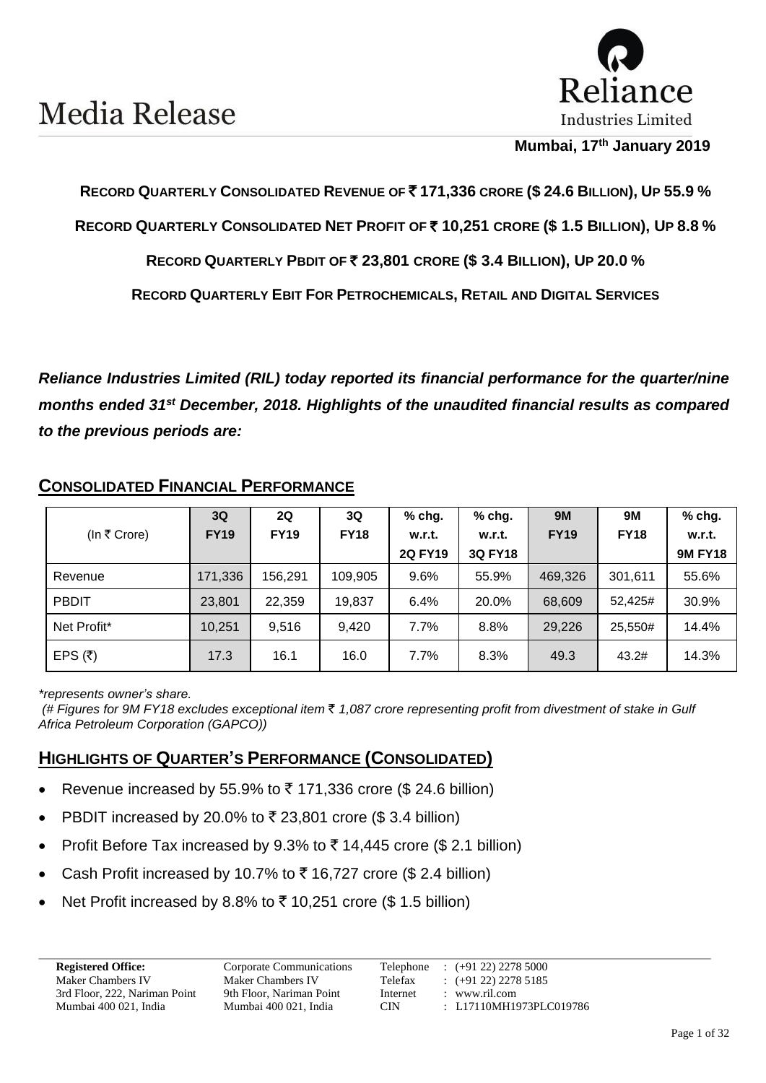

#### **Mumbai, 17 th January 2019**

#### **RECORD QUARTERLY CONSOLIDATED REVENUE OF** ` **171,336 CRORE (\$ 24.6 BILLION), UP 55.9 %**

**RECORD QUARTERLY CONSOLIDATED NET PROFIT OF** ` **10,251 CRORE (\$ 1.5 BILLION), UP 8.8 %**

**RECORD QUARTERLY PBDIT OF** ` **23,801 CRORE (\$ 3.4 BILLION), UP 20.0 %**

**RECORD QUARTERLY EBIT FOR PETROCHEMICALS, RETAIL AND DIGITAL SERVICES**

*Reliance Industries Limited (RIL) today reported its financial performance for the quarter/nine months ended 31 st December, 2018. Highlights of the unaudited financial results as compared to the previous periods are:*

|              | 3Q          | 2Q          | 3Q          | $%$ chg.       | % chg.         | <b>9M</b>   | <b>9M</b>   | % chg.         |
|--------------|-------------|-------------|-------------|----------------|----------------|-------------|-------------|----------------|
| (In ₹ Crore) | <b>FY19</b> | <b>FY19</b> | <b>FY18</b> | w.r.t.         | w.r.t.         | <b>FY19</b> | <b>FY18</b> | w.r.t.         |
|              |             |             |             | <b>2Q FY19</b> | <b>3Q FY18</b> |             |             | <b>9M FY18</b> |
| Revenue      | 171,336     | 156,291     | 109,905     | 9.6%           | 55.9%          | 469,326     | 301,611     | 55.6%          |
| <b>PBDIT</b> | 23,801      | 22,359      | 19,837      | 6.4%           | 20.0%          | 68,609      | 52,425#     | 30.9%          |
| Net Profit*  | 10,251      | 9,516       | 9,420       | 7.7%           | 8.8%           | 29,226      | 25,550#     | 14.4%          |
| EPS $(3)$    | 17.3        | 16.1        | 16.0        | 7.7%           | 8.3%           | 49.3        | 43.2#       | 14.3%          |

#### **CONSOLIDATED FINANCIAL PERFORMANCE**

*\*represents owner's share.*

*(# Figures for 9M FY18 excludes exceptional item* ` *1,087 crore representing profit from divestment of stake in Gulf Africa Petroleum Corporation (GAPCO))*

### **HIGHLIGHTS OF QUARTER'S PERFORMANCE (CONSOLIDATED)**

- Revenue increased by 55.9% to  $\bar{\tau}$  171,336 crore (\$ 24.6 billion)
- PBDIT increased by 20.0% to  $\bar{\tau}$  23,801 crore (\$3.4 billion)
- Profit Before Tax increased by 9.3% to  $\bar{\tau}$  14,445 crore (\$ 2.1 billion)
- Cash Profit increased by 10.7% to  $\bar{\tau}$  16,727 crore (\$ 2.4 billion)
- Net Profit increased by 8.8% to  $\bar{\tau}$  10,251 crore (\$ 1.5 billion)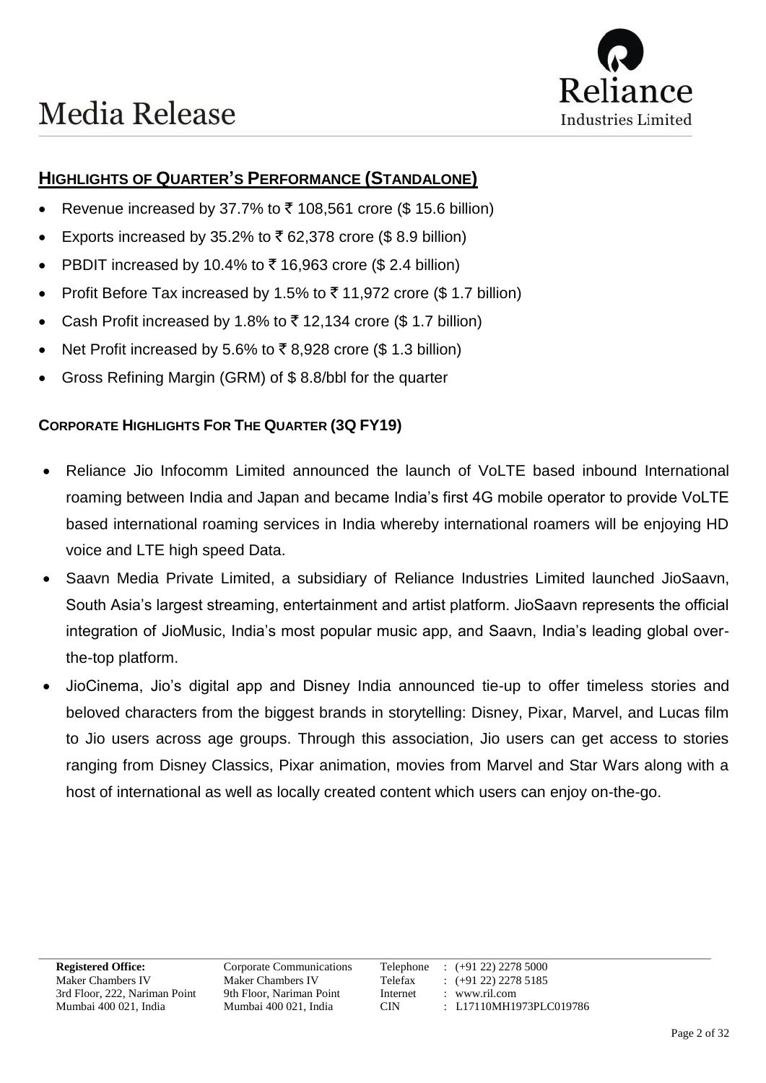### **HIGHLIGHTS OF QUARTER'S PERFORMANCE (STANDALONE)**

- Revenue increased by 37.7% to  $\bar{\tau}$  108,561 crore (\$ 15.6 billion)
- Exports increased by 35.2% to  $\bar{\tau}$  62,378 crore (\$8.9 billion)
- PBDIT increased by 10.4% to  $\bar{\tau}$  16,963 crore (\$ 2.4 billion)
- Profit Before Tax increased by 1.5% to  $\bar{\tau}$  11,972 crore (\$ 1.7 billion)
- Cash Profit increased by 1.8% to  $\bar{\tau}$  12,134 crore (\$ 1.7 billion)
- Net Profit increased by 5.6% to ₹8,928 crore (\$ 1.3 billion)
- Gross Refining Margin (GRM) of \$ 8.8/bbl for the quarter

#### **CORPORATE HIGHLIGHTS FOR THE QUARTER (3Q FY19)**

- Reliance Jio Infocomm Limited announced the launch of VoLTE based inbound International roaming between India and Japan and became India's first 4G mobile operator to provide VoLTE based international roaming services in India whereby international roamers will be enjoying HD voice and LTE high speed Data.
- Saavn Media Private Limited, a subsidiary of Reliance Industries Limited launched JioSaavn, South Asia's largest streaming, entertainment and artist platform. JioSaavn represents the official integration of JioMusic, India's most popular music app, and Saavn, India's leading global overthe-top platform.
- JioCinema, Jio's digital app and Disney India announced tie-up to offer timeless stories and beloved characters from the biggest brands in storytelling: Disney, Pixar, Marvel, and Lucas film to Jio users across age groups. Through this association, Jio users can get access to stories ranging from Disney Classics, Pixar animation, movies from Marvel and Star Wars along with a host of international as well as locally created content which users can enjoy on-the-go.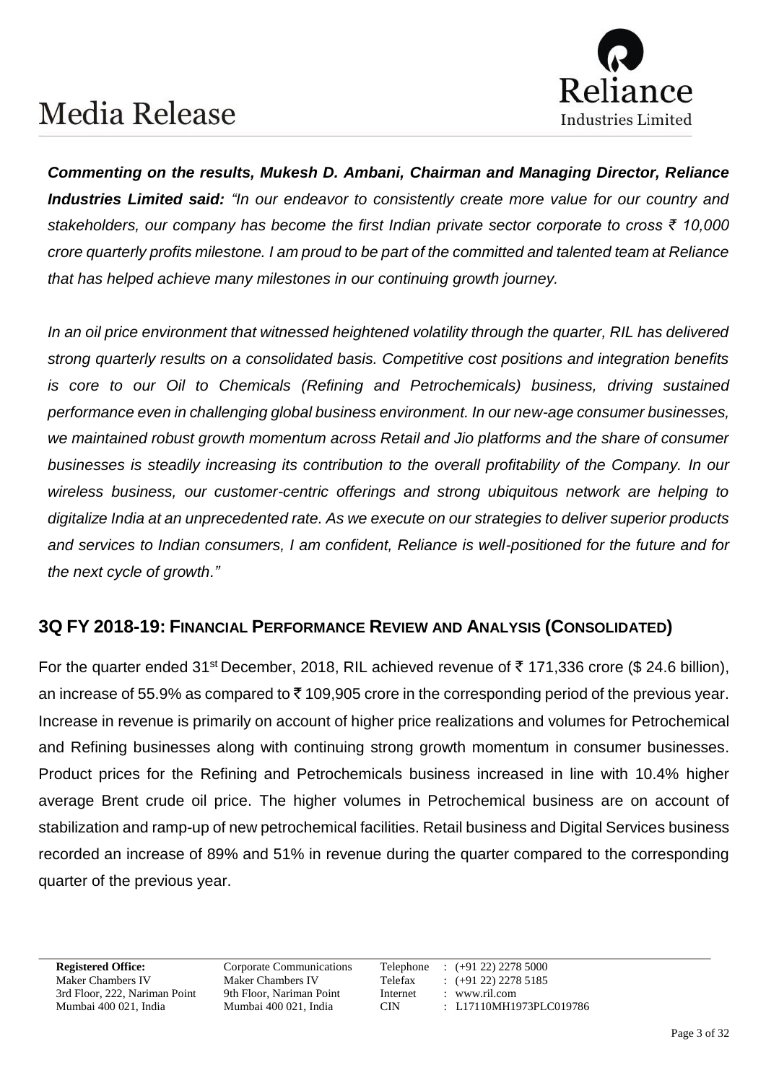

*Commenting on the results, Mukesh D. Ambani, Chairman and Managing Director, Reliance Industries Limited said: "In our endeavor to consistently create more value for our country and stakeholders, our company has become the first Indian private sector corporate to cross ₹ 10,000 crore quarterly profits milestone. I am proud to be part of the committed and talented team at Reliance that has helped achieve many milestones in our continuing growth journey.* 

*In an oil price environment that witnessed heightened volatility through the quarter, RIL has delivered strong quarterly results on a consolidated basis. Competitive cost positions and integration benefits is core to our Oil to Chemicals (Refining and Petrochemicals) business, driving sustained performance even in challenging global business environment. In our new-age consumer businesses, we maintained robust growth momentum across Retail and Jio platforms and the share of consumer businesses is steadily increasing its contribution to the overall profitability of the Company. In our wireless business, our customer-centric offerings and strong ubiquitous network are helping to digitalize India at an unprecedented rate. As we execute on our strategies to deliver superior products and services to Indian consumers, I am confident, Reliance is well-positioned for the future and for the next cycle of growth."*

### **3Q FY 2018-19: FINANCIAL PERFORMANCE REVIEW AND ANALYSIS (CONSOLIDATED)**

For the quarter ended 31<sup>st</sup> December, 2018, RIL achieved revenue of ₹ 171,336 crore (\$ 24.6 billion), an increase of 55.9% as compared to  $\bar{\tau}$  109,905 crore in the corresponding period of the previous year. Increase in revenue is primarily on account of higher price realizations and volumes for Petrochemical and Refining businesses along with continuing strong growth momentum in consumer businesses. Product prices for the Refining and Petrochemicals business increased in line with 10.4% higher average Brent crude oil price. The higher volumes in Petrochemical business are on account of stabilization and ramp-up of new petrochemical facilities. Retail business and Digital Services business recorded an increase of 89% and 51% in revenue during the quarter compared to the corresponding quarter of the previous year.

3rd Floor, 222, Nariman Point 9th Floor, Nariman Point Internet : www.ril.com

**Registered Office:** Corporate Communications Telephone : (+91 22) 2278 5000 Maker Chambers IV Maker Chambers IV Telefax : (+91 22) 2278 5185<br>
3rd Floor, 222, Nariman Point 9th Floor, Nariman Point Internet : www.ril.com Mumbai 400 021, India Mumbai 400 021, India CIN : L17110MH1973PLC019786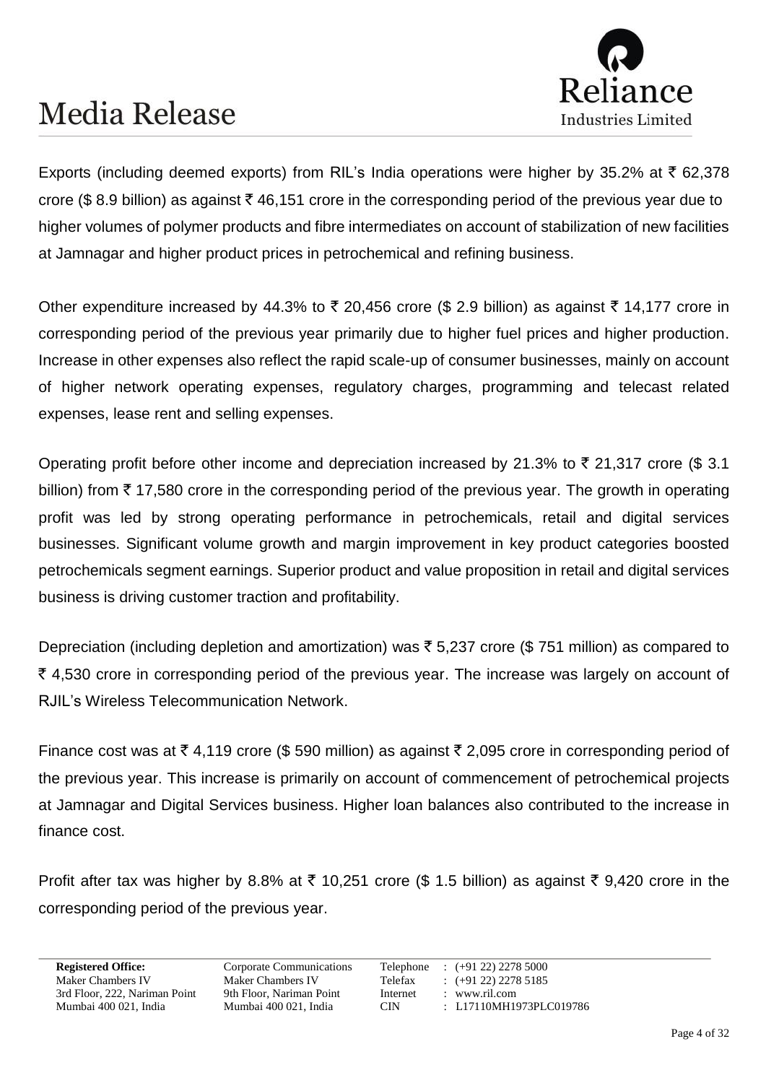

Exports (including deemed exports) from RIL's India operations were higher by 35.2% at  $\bar{\tau}$  62,378 crore (\$8.9 billion) as against  $\bar{\tau}$  46,151 crore in the corresponding period of the previous year due to higher volumes of polymer products and fibre intermediates on account of stabilization of new facilities at Jamnagar and higher product prices in petrochemical and refining business.

Other expenditure increased by 44.3% to  $\bar{\tau}$  20,456 crore (\$ 2.9 billion) as against  $\bar{\tau}$  14,177 crore in corresponding period of the previous year primarily due to higher fuel prices and higher production. Increase in other expenses also reflect the rapid scale-up of consumer businesses, mainly on account of higher network operating expenses, regulatory charges, programming and telecast related expenses, lease rent and selling expenses.

Operating profit before other income and depreciation increased by 21.3% to  $\bar{\tau}$  21,317 crore (\$ 3.1) billion) from  $\bar{\tau}$  17,580 crore in the corresponding period of the previous year. The growth in operating profit was led by strong operating performance in petrochemicals, retail and digital services businesses. Significant volume growth and margin improvement in key product categories boosted petrochemicals segment earnings. Superior product and value proposition in retail and digital services business is driving customer traction and profitability.

Depreciation (including depletion and amortization) was  $\bar{\tau}$  5,237 crore (\$751 million) as compared to  $\bar{\xi}$  4,530 crore in corresponding period of the previous year. The increase was largely on account of RJIL's Wireless Telecommunication Network.

Finance cost was at  $\bar{\tau}$  4,119 crore (\$ 590 million) as against  $\bar{\tau}$  2,095 crore in corresponding period of the previous year. This increase is primarily on account of commencement of petrochemical projects at Jamnagar and Digital Services business. Higher loan balances also contributed to the increase in finance cost.

Profit after tax was higher by 8.8% at  $\bar{\tau}$  10,251 crore (\$ 1.5 billion) as against  $\bar{\tau}$  9,420 crore in the corresponding period of the previous year.

3rd Floor, 222, Nariman Point 9th Floor, Nariman Point Internet : www.ril.com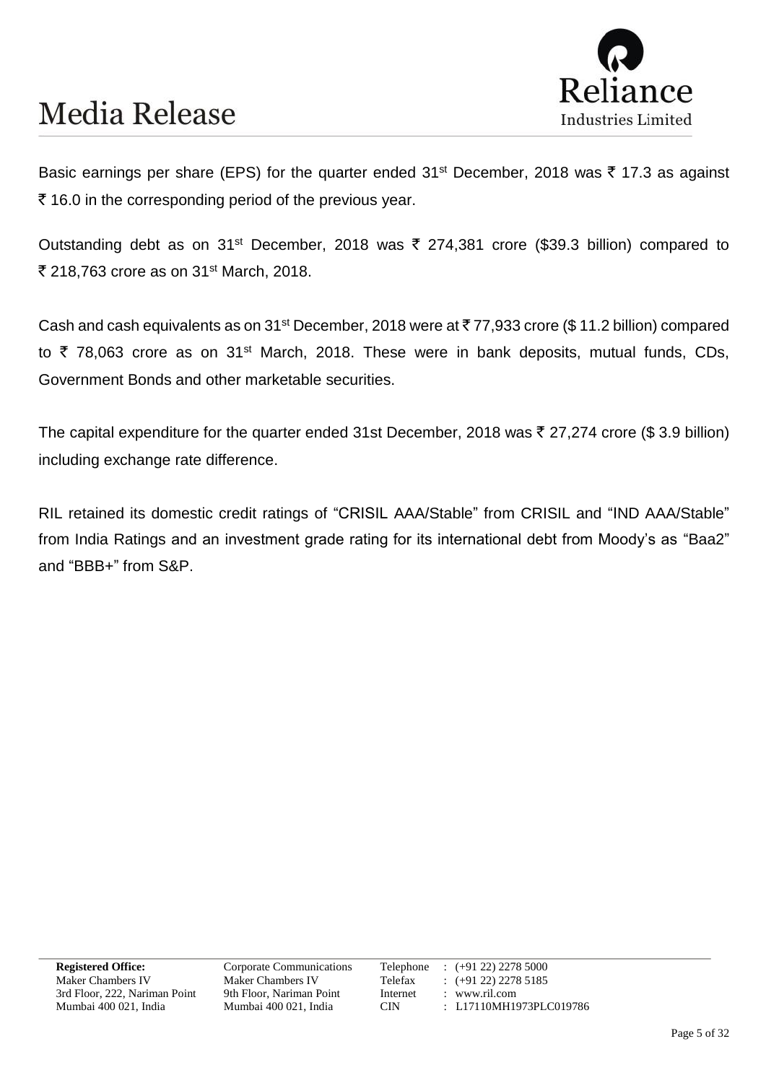

Basic earnings per share (EPS) for the quarter ended 31<sup>st</sup> December, 2018 was ₹ 17.3 as against  $\bar{\tau}$  16.0 in the corresponding period of the previous year.

Outstanding debt as on 31<sup>st</sup> December, 2018 was ₹ 274,381 crore (\$39.3 billion) compared to ₹ 218,763 crore as on 31<sup>st</sup> March, 2018.

Cash and cash equivalents as on 31<sup>st</sup> December, 2018 were at ₹ 77,933 crore (\$ 11.2 billion) compared to  $\bar{\tau}$  78,063 crore as on 31<sup>st</sup> March, 2018. These were in bank deposits, mutual funds, CDs, Government Bonds and other marketable securities.

The capital expenditure for the quarter ended 31st December, 2018 was  $\bar{\tau}$  27,274 crore (\$3.9 billion) including exchange rate difference.

RIL retained its domestic credit ratings of "CRISIL AAA/Stable" from CRISIL and "IND AAA/Stable" from India Ratings and an investment grade rating for its international debt from Moody's as "Baa2" and "BBB+" from S&P.

3rd Floor, 222, Nariman Point 9th Floor, Nariman Point Internet : www.ril.com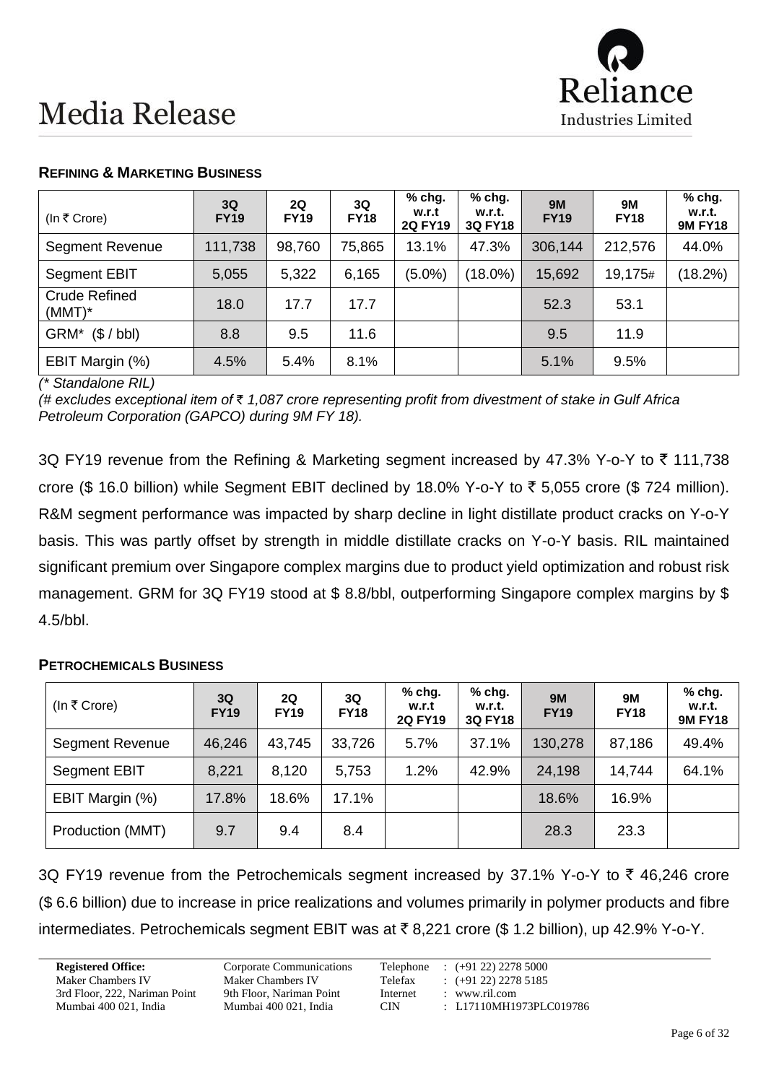

| (In ₹ Crore)                      | 3Q<br><b>FY19</b> | 2Q<br><b>FY19</b> | 3Q<br><b>FY18</b> | $%$ chg.<br>w.r.t<br><b>2Q FY19</b> | $%$ chg.<br>w.r.t.<br><b>3Q FY18</b> | <b>9M</b><br><b>FY19</b> | 9M<br><b>FY18</b> | $%$ chg.<br>w.r.t.<br><b>9M FY18</b> |
|-----------------------------------|-------------------|-------------------|-------------------|-------------------------------------|--------------------------------------|--------------------------|-------------------|--------------------------------------|
| <b>Segment Revenue</b>            | 111,738           | 98,760            | 75,865            | 13.1%                               | 47.3%                                | 306,144                  | 212,576           | 44.0%                                |
| <b>Segment EBIT</b>               | 5,055             | 5,322             | 6,165             | $(5.0\%)$                           | $(18.0\%)$                           | 15,692                   | 19,175#           | (18.2%)                              |
| <b>Crude Refined</b><br>$(MMT)^*$ | 18.0              | 17.7              | 17.7              |                                     |                                      | 52.3                     | 53.1              |                                      |
| (\$/bb)<br>GRM*                   | 8.8               | 9.5               | 11.6              |                                     |                                      | 9.5                      | 11.9              |                                      |
| EBIT Margin (%)                   | 4.5%              | 5.4%              | 8.1%              |                                     |                                      | 5.1%                     | 9.5%              |                                      |

#### **REFINING & MARKETING BUSINESS**

*(\* Standalone RIL)*

*(# excludes exceptional item of* ` *1,087 crore representing profit from divestment of stake in Gulf Africa Petroleum Corporation (GAPCO) during 9M FY 18).*

3Q FY19 revenue from the Refining & Marketing segment increased by 47.3% Y-o-Y to  $\bar{\tau}$  111,738 crore (\$ 16.0 billion) while Segment EBIT declined by 18.0% Y-o-Y to  $\bar{\tau}$  5,055 crore (\$ 724 million). R&M segment performance was impacted by sharp decline in light distillate product cracks on Y-o-Y basis. This was partly offset by strength in middle distillate cracks on Y-o-Y basis. RIL maintained significant premium over Singapore complex margins due to product yield optimization and robust risk management. GRM for 3Q FY19 stood at \$ 8.8/bbl, outperforming Singapore complex margins by \$ 4.5/bbl.

#### **PETROCHEMICALS BUSINESS**

| (In ₹ Crore)           | 3Q<br><b>FY19</b> | <b>2Q</b><br><b>FY19</b> | 3Q<br><b>FY18</b> | $%$ chg.<br>w.r.t<br><b>2Q FY19</b> | % chg.<br>w.r.t.<br><b>3Q FY18</b> | <b>9M</b><br><b>FY19</b> | 9M<br><b>FY18</b> | % chg.<br>w.r.t.<br><b>9M FY18</b> |
|------------------------|-------------------|--------------------------|-------------------|-------------------------------------|------------------------------------|--------------------------|-------------------|------------------------------------|
| <b>Segment Revenue</b> | 46,246            | 43,745                   | 33,726            | 5.7%                                | 37.1%                              | 130,278                  | 87,186            | 49.4%                              |
| Segment EBIT           | 8,221             | 8,120                    | 5,753             | 1.2%                                | 42.9%                              | 24,198                   | 14,744            | 64.1%                              |
| EBIT Margin (%)        | 17.8%             | 18.6%                    | 17.1%             |                                     |                                    | 18.6%                    | 16.9%             |                                    |
| Production (MMT)       | 9.7               | 9.4                      | 8.4               |                                     |                                    | 28.3                     | 23.3              |                                    |

3Q FY19 revenue from the Petrochemicals segment increased by 37.1% Y-o-Y to  $\bar{\tau}$  46,246 crore (\$ 6.6 billion) due to increase in price realizations and volumes primarily in polymer products and fibre intermediates. Petrochemicals segment EBIT was at  $\bar{\tau}$  8,221 crore (\$ 1.2 billion), up 42.9% Y-o-Y.

3rd Floor, 222, Nariman Point 9th Floor, Nariman Point Internet : www.ril.com

**Registered Office:** Corporate Communications Telephone : (+91 22) 2278 5000 Maker Chambers IV<br>
Maker Chambers IV<br>
Telefax : (+91 22) 2278 5185<br>
3rd Floor, 222, Nariman Point 9th Floor, Nariman Point Internet : www.ril.com Mumbai 400 021, India Mumbai 400 021, India CIN : L17110MH1973PLC019786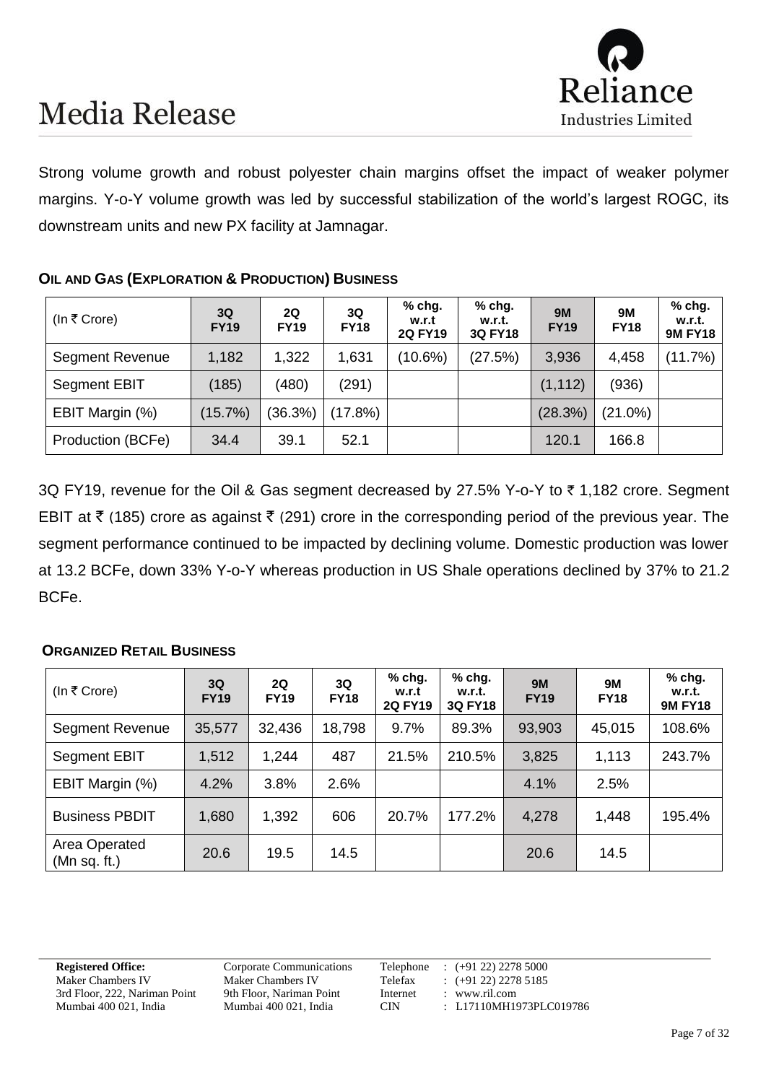

Strong volume growth and robust polyester chain margins offset the impact of weaker polymer margins. Y-o-Y volume growth was led by successful stabilization of the world's largest ROGC, its downstream units and new PX facility at Jamnagar.

#### **OIL AND GAS (EXPLORATION & PRODUCTION) BUSINESS**

| (In ₹ Crore)           | 3Q<br><b>FY19</b> | 2Q<br><b>FY19</b> | 3Q<br><b>FY18</b> | $%$ chg.<br>w.r.t<br><b>2Q FY19</b> | % chg.<br>w.r.t.<br><b>3Q FY18</b> | <b>9M</b><br><b>FY19</b> | <b>9M</b><br><b>FY18</b> | % chg.<br>w.r.t.<br><b>9M FY18</b> |
|------------------------|-------------------|-------------------|-------------------|-------------------------------------|------------------------------------|--------------------------|--------------------------|------------------------------------|
| <b>Segment Revenue</b> | 1,182             | 1,322             | 1,631             | $(10.6\%)$                          | (27.5%)                            | 3,936                    | 4,458                    | (11.7%)                            |
| Segment EBIT           | (185)             | (480)             | (291)             |                                     |                                    | (1, 112)                 | (936)                    |                                    |
| EBIT Margin (%)        | (15.7%)           | (36.3%)           | $(17.8\%)$        |                                     |                                    | (28.3%)                  | $(21.0\%)$               |                                    |
| Production (BCFe)      | 34.4              | 39.1              | 52.1              |                                     |                                    | 120.1                    | 166.8                    |                                    |

3Q FY19, revenue for the Oil & Gas segment decreased by 27.5% Y-o-Y to  $\bar{\tau}$  1,182 crore. Segment EBIT at  $\bar{\tau}$  (185) crore as against  $\bar{\tau}$  (291) crore in the corresponding period of the previous year. The segment performance continued to be impacted by declining volume. Domestic production was lower at 13.2 BCFe, down 33% Y-o-Y whereas production in US Shale operations declined by 37% to 21.2 BCFe.

#### **ORGANIZED RETAIL BUSINESS**

| (In ₹ Crore)                  | 3Q<br><b>FY19</b> | 2Q<br><b>FY19</b> | 3Q<br><b>FY18</b> | $%$ chg.<br>w.r.t<br><b>2Q FY19</b> | $%$ chg.<br>w.r.t.<br><b>3Q FY18</b> | <b>9M</b><br><b>FY19</b> | 9M<br><b>FY18</b> | $%$ chg.<br>w.r.t.<br><b>9M FY18</b> |
|-------------------------------|-------------------|-------------------|-------------------|-------------------------------------|--------------------------------------|--------------------------|-------------------|--------------------------------------|
| Segment Revenue               | 35,577            | 32,436            | 18,798            | 9.7%                                | 89.3%                                | 93,903                   | 45,015            | 108.6%                               |
| Segment EBIT                  | 1,512             | 1,244             | 487               | 21.5%                               | 210.5%                               | 3,825                    | 1,113             | 243.7%                               |
| EBIT Margin (%)               | 4.2%              | 3.8%              | 2.6%              |                                     |                                      | 4.1%                     | 2.5%              |                                      |
| <b>Business PBDIT</b>         | 1,680             | 1,392             | 606               | 20.7%                               | 177.2%                               | 4,278                    | 1,448             | 195.4%                               |
| Area Operated<br>(Mn sq. ft.) | 20.6              | 19.5              | 14.5              |                                     |                                      | 20.6                     | 14.5              |                                      |

3rd Floor, 222, Nariman Point 9th Floor, Nariman Point Internet : www.ril.com

**Registered Office:** Corporate Communications Telephone : (+91 22) 2278 5000 Maker Chambers IV<br>
Maker Chambers IV<br>
Telefax : (+91 22) 2278 5185<br>
3rd Floor, 222, Nariman Point 9th Floor, Nariman Point Internet : www.ril.com Mumbai 400 021, India Mumbai 400 021, India CIN : L17110MH1973PLC019786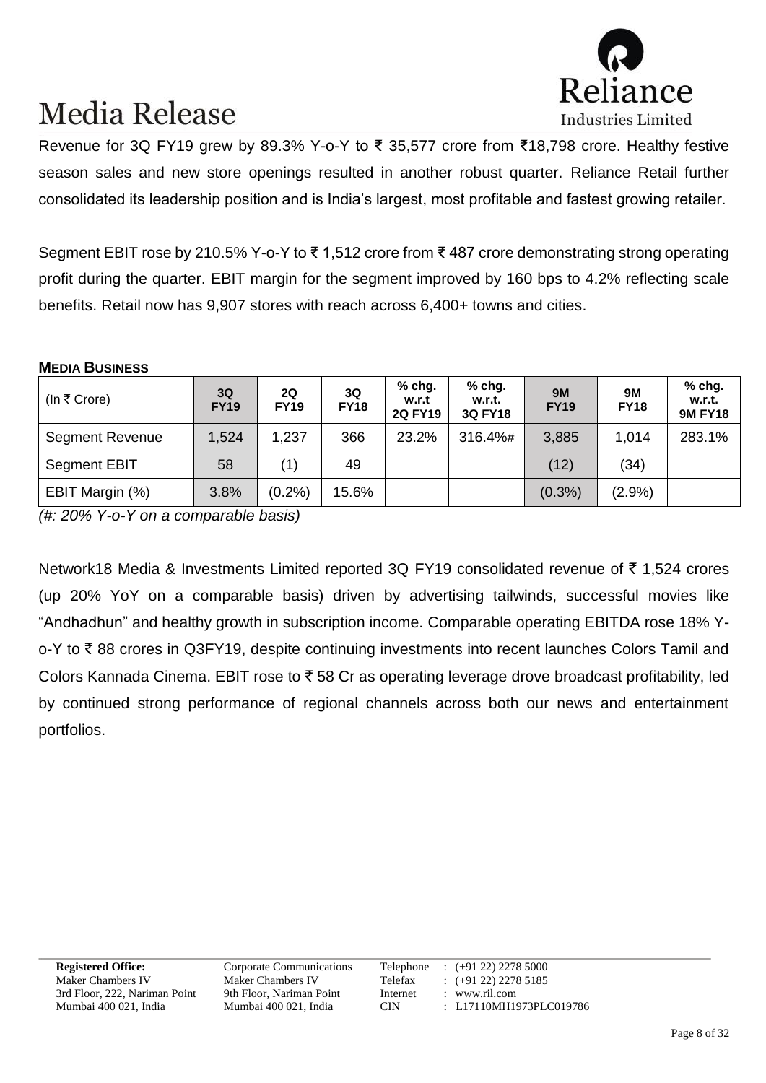

Revenue for 3Q FY19 grew by 89.3% Y-o-Y to ₹ 35,577 crore from ₹18,798 crore. Healthy festive season sales and new store openings resulted in another robust quarter. Reliance Retail further consolidated its leadership position and is India's largest, most profitable and fastest growing retailer.

Segment EBIT rose by 210.5% Y-o-Y to ₹ 1,512 crore from ₹ 487 crore demonstrating strong operating profit during the quarter. EBIT margin for the segment improved by 160 bps to 4.2% reflecting scale benefits. Retail now has 9,907 stores with reach across 6,400+ towns and cities.

#### **MEDIA BUSINESS**

| (In ₹ Crore)           | 3Q<br><b>FY19</b> | 2Q<br><b>FY19</b> | 3Q<br><b>FY18</b> | % chg.<br>w.r.t<br><b>2Q FY19</b> | $%$ chg.<br>w.r.t.<br><b>3Q FY18</b> | <b>9M</b><br><b>FY19</b> | <b>9M</b><br><b>FY18</b> | $%$ chg.<br>w.r.t.<br><b>9M FY18</b> |
|------------------------|-------------------|-------------------|-------------------|-----------------------------------|--------------------------------------|--------------------------|--------------------------|--------------------------------------|
| <b>Segment Revenue</b> | 1,524             | 1,237             | 366               | 23.2%                             | 316.4%#                              | 3,885                    | 1,014                    | 283.1%                               |
| Segment EBIT           | 58                | (1)               | 49                |                                   |                                      | (12)                     | (34)                     |                                      |
| EBIT Margin (%)        | 3.8%              | (0.2%)            | 15.6%             |                                   |                                      | $(0.3\%)$                | $(2.9\%)$                |                                      |

*(#: 20% Y-o-Y on a comparable basis)*

Network18 Media & Investments Limited reported 3Q FY19 consolidated revenue of  $\bar{\tau}$  1,524 crores (up 20% YoY on a comparable basis) driven by advertising tailwinds, successful movies like "Andhadhun" and healthy growth in subscription income. Comparable operating EBITDA rose 18% Yo-Y to ₹88 crores in Q3FY19, despite continuing investments into recent launches Colors Tamil and Colors Kannada Cinema. EBIT rose to  $\bar{\tau}$  58 Cr as operating leverage drove broadcast profitability, led by continued strong performance of regional channels across both our news and entertainment portfolios.

3rd Floor, 222, Nariman Point 9th Floor, Nariman Point Internet : www.ril.com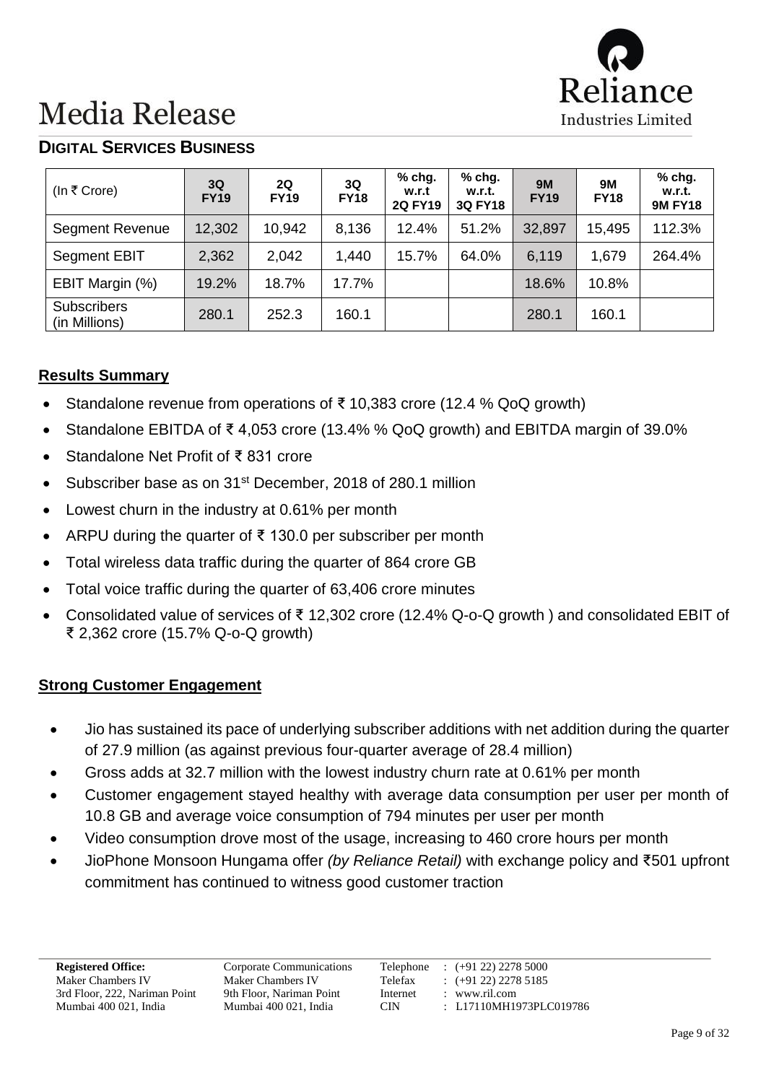

### **DIGITAL SERVICES BUSINESS**

| (In ₹ Crore)                        | 3Q<br><b>FY19</b> | 2Q<br><b>FY19</b> | 3Q<br><b>FY18</b> | % chg.<br>w.r.t<br><b>2Q FY19</b> | % chg.<br>w.r.t.<br><b>3Q FY18</b> | <b>9M</b><br><b>FY19</b> | <b>9M</b><br><b>FY18</b> | % chg.<br>w.r.t.<br><b>9M FY18</b> |
|-------------------------------------|-------------------|-------------------|-------------------|-----------------------------------|------------------------------------|--------------------------|--------------------------|------------------------------------|
| <b>Segment Revenue</b>              | 12,302            | 10,942            | 8.136             | 12.4%                             | 51.2%                              | 32,897                   | 15,495                   | 112.3%                             |
| <b>Segment EBIT</b>                 | 2,362             | 2,042             | 1,440             | 15.7%                             | 64.0%                              | 6,119                    | 1,679                    | 264.4%                             |
| EBIT Margin (%)                     | 19.2%             | 18.7%             | 17.7%             |                                   |                                    | 18.6%                    | 10.8%                    |                                    |
| <b>Subscribers</b><br>(in Millions) | 280.1             | 252.3             | 160.1             |                                   |                                    | 280.1                    | 160.1                    |                                    |

#### **Results Summary**

- Standalone revenue from operations of ₹ 10,383 crore (12.4 % QoQ growth)
- Standalone EBITDA of ₹ 4,053 crore (13.4% % QoQ growth) and EBITDA margin of 39.0%
- Standalone Net Profit of ₹ 831 crore
- Subscriber base as on 31st December, 2018 of 280.1 million
- Lowest churn in the industry at 0.61% per month
- ARPU during the quarter of ₹ 130.0 per subscriber per month
- Total wireless data traffic during the quarter of 864 crore GB
- Total voice traffic during the quarter of 63,406 crore minutes
- Consolidated value of services of ₹ 12,302 crore (12.4% Q-o-Q growth ) and consolidated EBIT of ₹ 2,362 crore (15.7% Q-o-Q growth)

#### **Strong Customer Engagement**

- Jio has sustained its pace of underlying subscriber additions with net addition during the quarter of 27.9 million (as against previous four-quarter average of 28.4 million)
- Gross adds at 32.7 million with the lowest industry churn rate at 0.61% per month
- Customer engagement stayed healthy with average data consumption per user per month of 10.8 GB and average voice consumption of 794 minutes per user per month
- Video consumption drove most of the usage, increasing to 460 crore hours per month
- JioPhone Monsoon Hungama offer *(by Reliance Retail)* with exchange policy and ₹501 upfront commitment has continued to witness good customer traction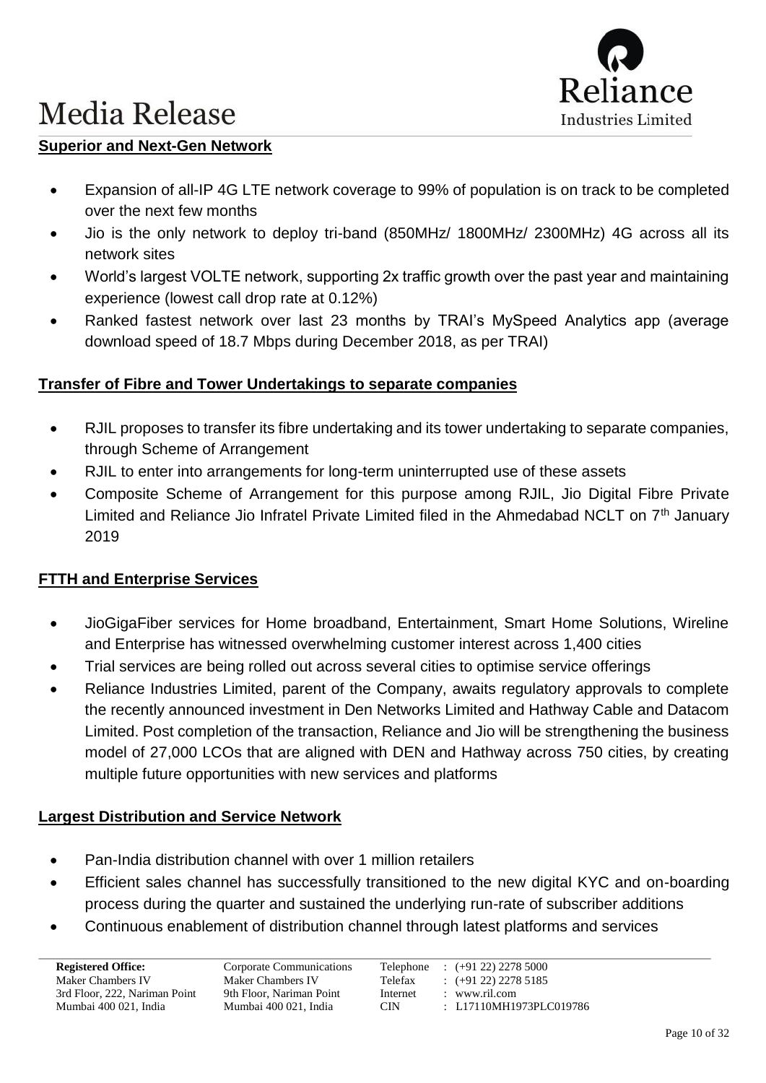

#### **Superior and Next-Gen Network**

- Expansion of all-IP 4G LTE network coverage to 99% of population is on track to be completed over the next few months
- Jio is the only network to deploy tri-band (850MHz/ 1800MHz/ 2300MHz) 4G across all its network sites
- World's largest VOLTE network, supporting 2x traffic growth over the past year and maintaining experience (lowest call drop rate at 0.12%)
- Ranked fastest network over last 23 months by TRAI's MySpeed Analytics app (average download speed of 18.7 Mbps during December 2018, as per TRAI)

#### **Transfer of Fibre and Tower Undertakings to separate companies**

- RJIL proposes to transfer its fibre undertaking and its tower undertaking to separate companies, through Scheme of Arrangement
- RJIL to enter into arrangements for long-term uninterrupted use of these assets
- Composite Scheme of Arrangement for this purpose among RJIL, Jio Digital Fibre Private Limited and Reliance Jio Infratel Private Limited filed in the Ahmedabad NCLT on  $7<sup>th</sup>$  January 2019

#### **FTTH and Enterprise Services**

- JioGigaFiber services for Home broadband, Entertainment, Smart Home Solutions, Wireline and Enterprise has witnessed overwhelming customer interest across 1,400 cities
- Trial services are being rolled out across several cities to optimise service offerings
- Reliance Industries Limited, parent of the Company, awaits regulatory approvals to complete the recently announced investment in Den Networks Limited and Hathway Cable and Datacom Limited. Post completion of the transaction, Reliance and Jio will be strengthening the business model of 27,000 LCOs that are aligned with DEN and Hathway across 750 cities, by creating multiple future opportunities with new services and platforms

#### **Largest Distribution and Service Network**

- Pan-India distribution channel with over 1 million retailers
- Efficient sales channel has successfully transitioned to the new digital KYC and on-boarding process during the quarter and sustained the underlying run-rate of subscriber additions
- Continuous enablement of distribution channel through latest platforms and services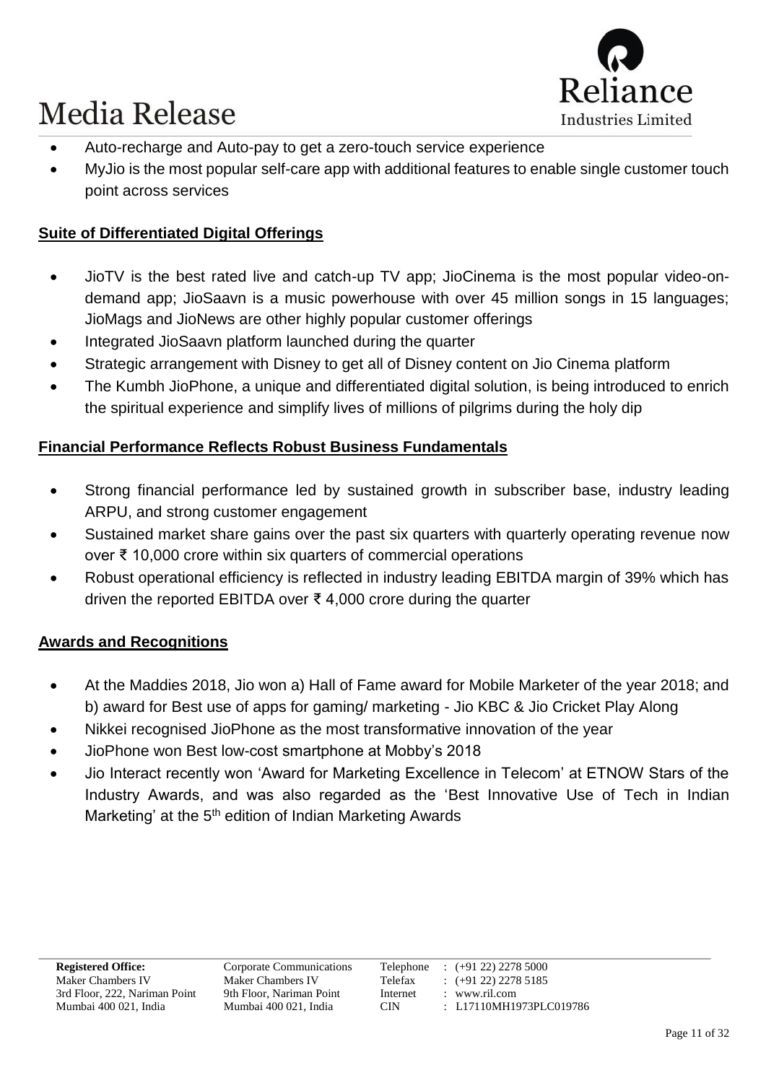

- Auto-recharge and Auto-pay to get a zero-touch service experience
- MyJio is the most popular self-care app with additional features to enable single customer touch point across services

### **Suite of Differentiated Digital Offerings**

- JioTV is the best rated live and catch-up TV app; JioCinema is the most popular video-ondemand app; JioSaavn is a music powerhouse with over 45 million songs in 15 languages; JioMags and JioNews are other highly popular customer offerings
- Integrated JioSaavn platform launched during the quarter
- Strategic arrangement with Disney to get all of Disney content on Jio Cinema platform
- The Kumbh JioPhone, a unique and differentiated digital solution, is being introduced to enrich the spiritual experience and simplify lives of millions of pilgrims during the holy dip

### **Financial Performance Reflects Robust Business Fundamentals**

- Strong financial performance led by sustained growth in subscriber base, industry leading ARPU, and strong customer engagement
- Sustained market share gains over the past six quarters with quarterly operating revenue now over ₹ 10,000 crore within six quarters of commercial operations
- Robust operational efficiency is reflected in industry leading EBITDA margin of 39% which has driven the reported EBITDA over ₹ 4,000 crore during the quarter

#### **Awards and Recognitions**

- At the Maddies 2018, Jio won a) Hall of Fame award for Mobile Marketer of the year 2018; and b) award for Best use of apps for gaming/ marketing - Jio KBC & Jio Cricket Play Along
- Nikkei recognised JioPhone as the most transformative innovation of the year
- JioPhone won Best low-cost smartphone at Mobby's 2018
- Jio Interact recently won 'Award for Marketing Excellence in Telecom' at ETNOW Stars of the Industry Awards, and was also regarded as the 'Best Innovative Use of Tech in Indian Marketing' at the 5<sup>th</sup> edition of Indian Marketing Awards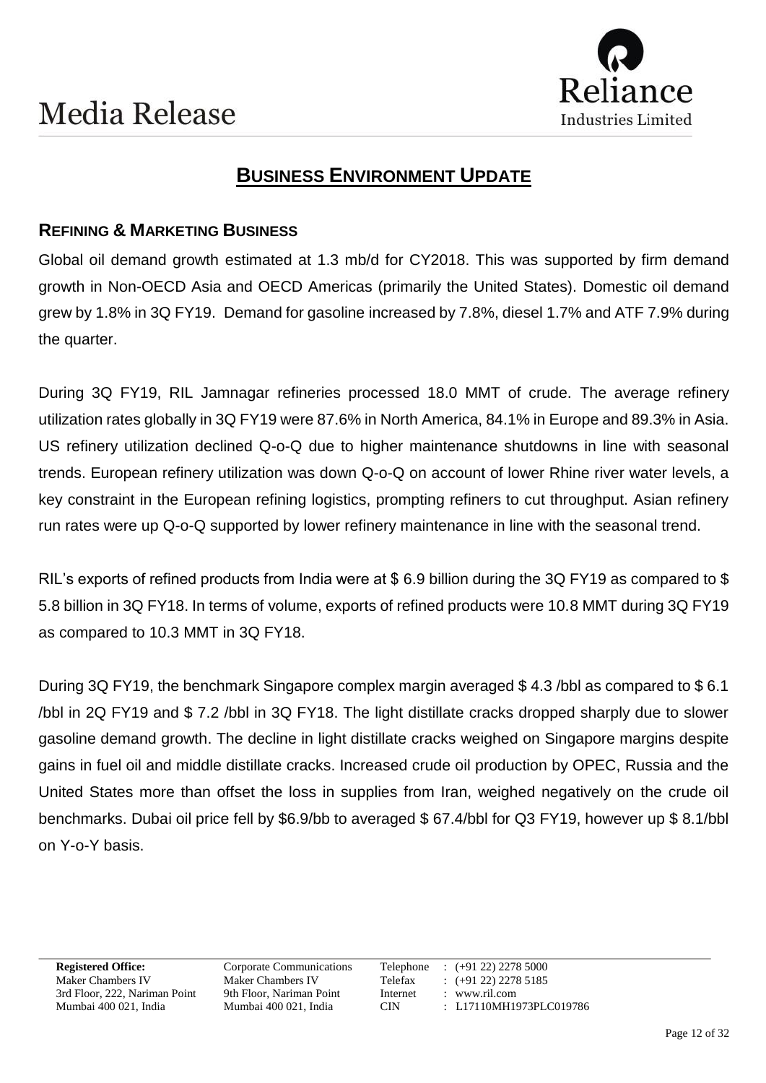

### **BUSINESS ENVIRONMENT UPDATE**

### **REFINING & MARKETING BUSINESS**

Global oil demand growth estimated at 1.3 mb/d for CY2018. This was supported by firm demand growth in Non-OECD Asia and OECD Americas (primarily the United States). Domestic oil demand grew by 1.8% in 3Q FY19. Demand for gasoline increased by 7.8%, diesel 1.7% and ATF 7.9% during the quarter.

During 3Q FY19, RIL Jamnagar refineries processed 18.0 MMT of crude. The average refinery utilization rates globally in 3Q FY19 were 87.6% in North America, 84.1% in Europe and 89.3% in Asia. US refinery utilization declined Q-o-Q due to higher maintenance shutdowns in line with seasonal trends. European refinery utilization was down Q-o-Q on account of lower Rhine river water levels, a key constraint in the European refining logistics, prompting refiners to cut throughput. Asian refinery run rates were up Q-o-Q supported by lower refinery maintenance in line with the seasonal trend.

RIL's exports of refined products from India were at \$6.9 billion during the 3Q FY19 as compared to \$ 5.8 billion in 3Q FY18. In terms of volume, exports of refined products were 10.8 MMT during 3Q FY19 as compared to 10.3 MMT in 3Q FY18.

During 3Q FY19, the benchmark Singapore complex margin averaged \$ 4.3 /bbl as compared to \$ 6.1 /bbl in 2Q FY19 and \$ 7.2 /bbl in 3Q FY18. The light distillate cracks dropped sharply due to slower gasoline demand growth. The decline in light distillate cracks weighed on Singapore margins despite gains in fuel oil and middle distillate cracks. Increased crude oil production by OPEC, Russia and the United States more than offset the loss in supplies from Iran, weighed negatively on the crude oil benchmarks. Dubai oil price fell by \$6.9/bb to averaged \$ 67.4/bbl for Q3 FY19, however up \$ 8.1/bbl on Y-o-Y basis.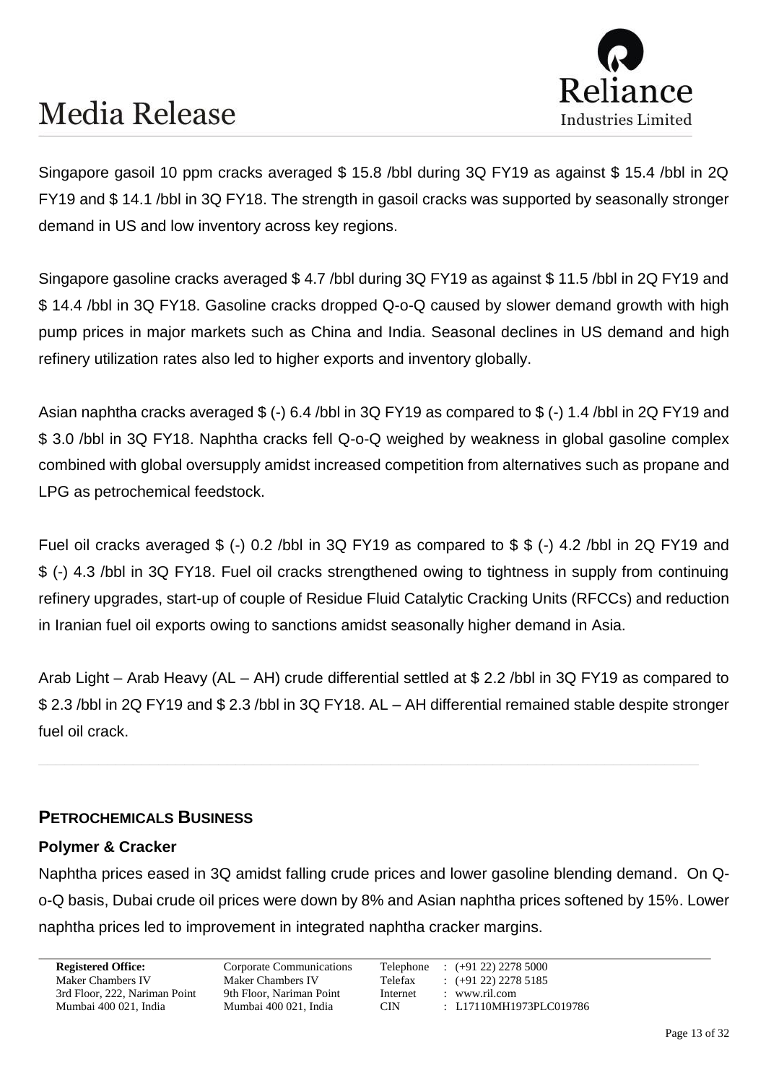

Singapore gasoil 10 ppm cracks averaged \$ 15.8 /bbl during 3Q FY19 as against \$ 15.4 /bbl in 2Q FY19 and \$ 14.1 /bbl in 3Q FY18. The strength in gasoil cracks was supported by seasonally stronger demand in US and low inventory across key regions.

Singapore gasoline cracks averaged \$ 4.7 /bbl during 3Q FY19 as against \$ 11.5 /bbl in 2Q FY19 and \$ 14.4 /bbl in 3Q FY18. Gasoline cracks dropped Q-o-Q caused by slower demand growth with high pump prices in major markets such as China and India. Seasonal declines in US demand and high refinery utilization rates also led to higher exports and inventory globally.

Asian naphtha cracks averaged \$ (-) 6.4 /bbl in 3Q FY19 as compared to \$ (-) 1.4 /bbl in 2Q FY19 and \$ 3.0 /bbl in 3Q FY18. Naphtha cracks fell Q-o-Q weighed by weakness in global gasoline complex combined with global oversupply amidst increased competition from alternatives such as propane and LPG as petrochemical feedstock.

Fuel oil cracks averaged \$ (-) 0.2 /bbl in 3Q FY19 as compared to \$ \$ (-) 4.2 /bbl in 2Q FY19 and \$ (-) 4.3 /bbl in 3Q FY18. Fuel oil cracks strengthened owing to tightness in supply from continuing refinery upgrades, start-up of couple of Residue Fluid Catalytic Cracking Units (RFCCs) and reduction in Iranian fuel oil exports owing to sanctions amidst seasonally higher demand in Asia.

Arab Light – Arab Heavy (AL – AH) crude differential settled at \$ 2.2 /bbl in 3Q FY19 as compared to \$ 2.3 /bbl in 2Q FY19 and \$ 2.3 /bbl in 3Q FY18. AL – AH differential remained stable despite stronger fuel oil crack.

#### **PETROCHEMICALS BUSINESS**

#### **Polymer & Cracker**

Naphtha prices eased in 3Q amidst falling crude prices and lower gasoline blending demand. On Qo-Q basis, Dubai crude oil prices were down by 8% and Asian naphtha prices softened by 15%. Lower naphtha prices led to improvement in integrated naphtha cracker margins.

3rd Floor, 222, Nariman Point 9th Floor, Nariman Point Internet : www.ril.com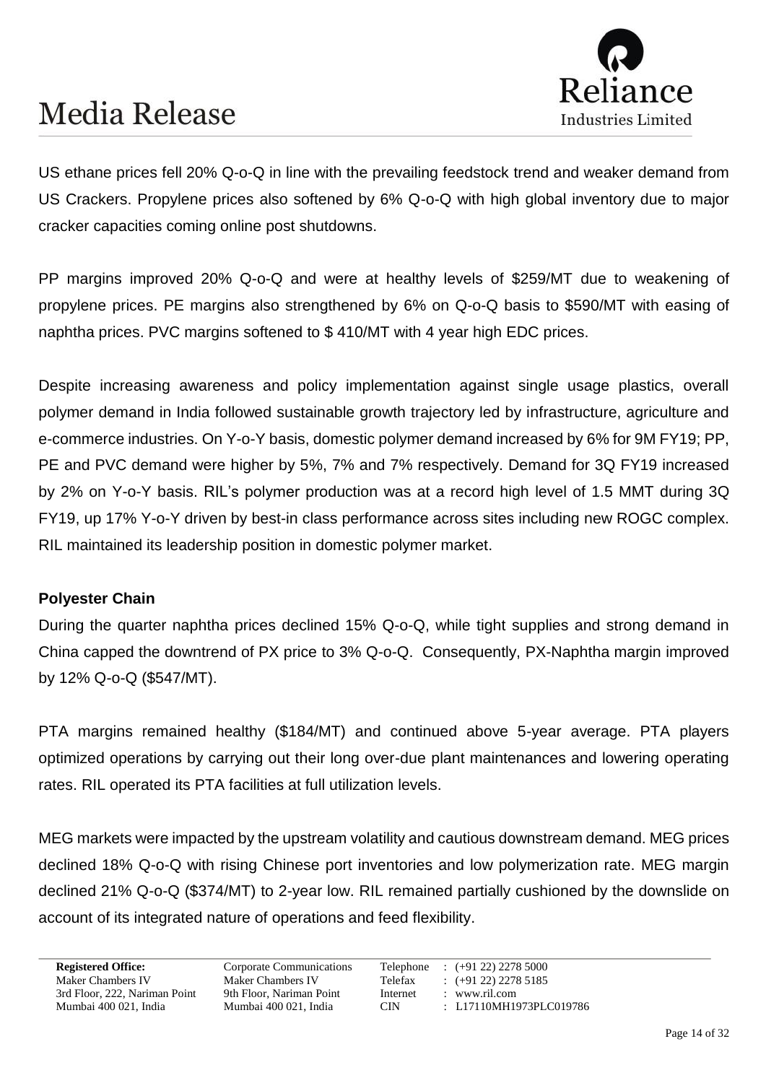

US ethane prices fell 20% Q-o-Q in line with the prevailing feedstock trend and weaker demand from US Crackers. Propylene prices also softened by 6% Q-o-Q with high global inventory due to major cracker capacities coming online post shutdowns.

PP margins improved 20% Q-o-Q and were at healthy levels of \$259/MT due to weakening of propylene prices. PE margins also strengthened by 6% on Q-o-Q basis to \$590/MT with easing of naphtha prices. PVC margins softened to \$ 410/MT with 4 year high EDC prices.

Despite increasing awareness and policy implementation against single usage plastics, overall polymer demand in India followed sustainable growth trajectory led by infrastructure, agriculture and e-commerce industries. On Y-o-Y basis, domestic polymer demand increased by 6% for 9M FY19; PP, PE and PVC demand were higher by 5%, 7% and 7% respectively. Demand for 3Q FY19 increased by 2% on Y-o-Y basis. RIL's polymer production was at a record high level of 1.5 MMT during 3Q FY19, up 17% Y-o-Y driven by best-in class performance across sites including new ROGC complex. RIL maintained its leadership position in domestic polymer market.

#### **Polyester Chain**

During the quarter naphtha prices declined 15% Q-o-Q, while tight supplies and strong demand in China capped the downtrend of PX price to 3% Q-o-Q. Consequently, PX-Naphtha margin improved by 12% Q-o-Q (\$547/MT).

PTA margins remained healthy (\$184/MT) and continued above 5-year average. PTA players optimized operations by carrying out their long over-due plant maintenances and lowering operating rates. RIL operated its PTA facilities at full utilization levels.

MEG markets were impacted by the upstream volatility and cautious downstream demand. MEG prices declined 18% Q-o-Q with rising Chinese port inventories and low polymerization rate. MEG margin declined 21% Q-o-Q (\$374/MT) to 2-year low. RIL remained partially cushioned by the downslide on account of its integrated nature of operations and feed flexibility.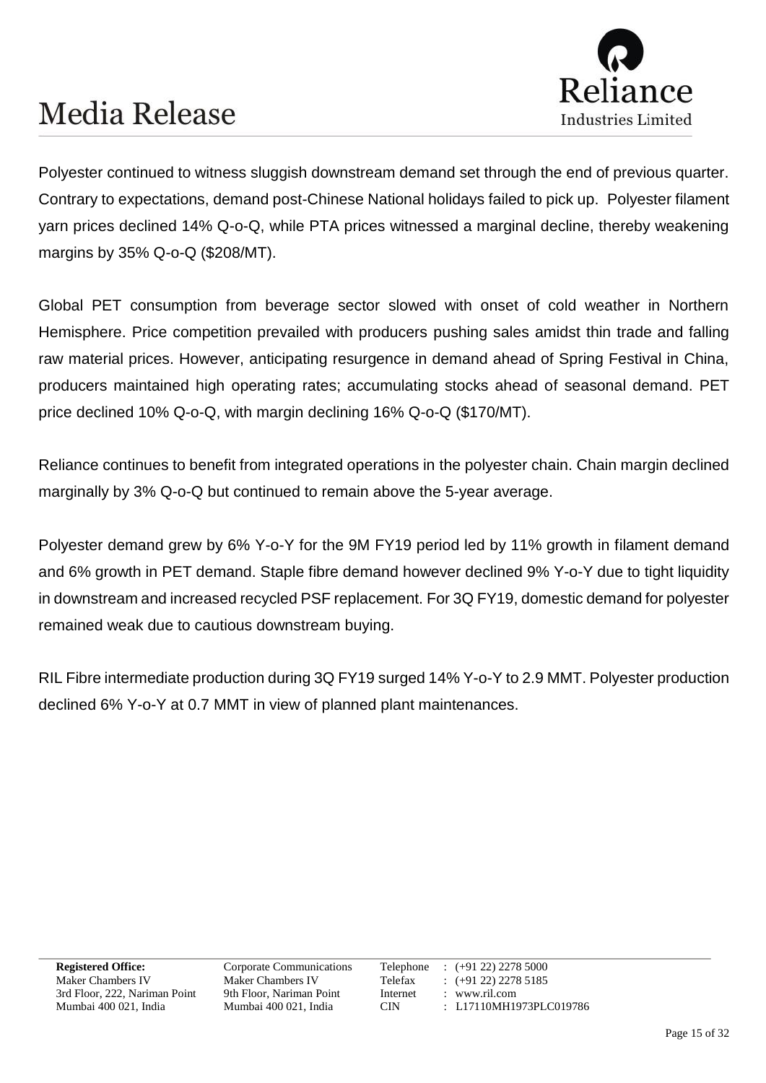

Polyester continued to witness sluggish downstream demand set through the end of previous quarter. Contrary to expectations, demand post-Chinese National holidays failed to pick up. Polyester filament yarn prices declined 14% Q-o-Q, while PTA prices witnessed a marginal decline, thereby weakening margins by 35% Q-o-Q (\$208/MT).

Global PET consumption from beverage sector slowed with onset of cold weather in Northern Hemisphere. Price competition prevailed with producers pushing sales amidst thin trade and falling raw material prices. However, anticipating resurgence in demand ahead of Spring Festival in China, producers maintained high operating rates; accumulating stocks ahead of seasonal demand. PET price declined 10% Q-o-Q, with margin declining 16% Q-o-Q (\$170/MT).

Reliance continues to benefit from integrated operations in the polyester chain. Chain margin declined marginally by 3% Q-o-Q but continued to remain above the 5-year average.

Polyester demand grew by 6% Y-o-Y for the 9M FY19 period led by 11% growth in filament demand and 6% growth in PET demand. Staple fibre demand however declined 9% Y-o-Y due to tight liquidity in downstream and increased recycled PSF replacement. For 3Q FY19, domestic demand for polyester remained weak due to cautious downstream buying.

RIL Fibre intermediate production during 3Q FY19 surged 14% Y-o-Y to 2.9 MMT. Polyester production declined 6% Y-o-Y at 0.7 MMT in view of planned plant maintenances.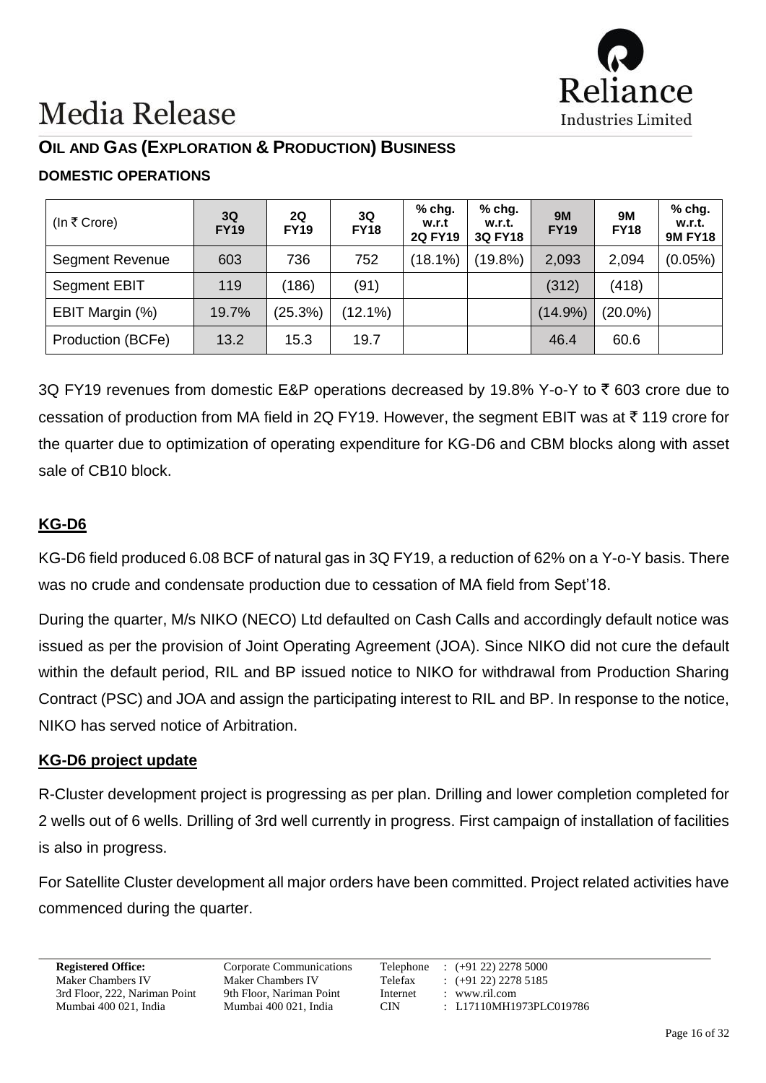

### **OIL AND GAS (EXPLORATION & PRODUCTION) BUSINESS**

### **DOMESTIC OPERATIONS**

| (In ₹ Crore)           | 3Q<br><b>FY19</b> | 2Q<br><b>FY19</b> | 3Q<br><b>FY18</b> | $%$ chg.<br>w.r.t<br><b>2Q FY19</b> | $%$ chg.<br>w.r.t.<br><b>3Q FY18</b> | <b>9M</b><br><b>FY19</b> | 9M<br><b>FY18</b> | % chg.<br>w.r.t.<br><b>9M FY18</b> |
|------------------------|-------------------|-------------------|-------------------|-------------------------------------|--------------------------------------|--------------------------|-------------------|------------------------------------|
| <b>Segment Revenue</b> | 603               | 736               | 752               | (18.1%)                             | $(19.8\%)$                           | 2,093                    | 2,094             | $(0.05\%)$                         |
| <b>Segment EBIT</b>    | 119               | (186)             | (91)              |                                     |                                      | (312)                    | (418)             |                                    |
| EBIT Margin (%)        | 19.7%             | (25.3%)           | (12.1%)           |                                     |                                      | $(14.9\%)$               | $(20.0\%)$        |                                    |
| Production (BCFe)      | 13.2              | 15.3              | 19.7              |                                     |                                      | 46.4                     | 60.6              |                                    |

3Q FY19 revenues from domestic E&P operations decreased by 19.8% Y-o-Y to  $\bar{\tau}$  603 crore due to cessation of production from MA field in 2Q FY19. However, the segment EBIT was at  $\bar{\tau}$  119 crore for the quarter due to optimization of operating expenditure for KG-D6 and CBM blocks along with asset sale of CB10 block.

### **KG-D6**

KG-D6 field produced 6.08 BCF of natural gas in 3Q FY19, a reduction of 62% on a Y-o-Y basis. There was no crude and condensate production due to cessation of MA field from Sept'18.

During the quarter, M/s NIKO (NECO) Ltd defaulted on Cash Calls and accordingly default notice was issued as per the provision of Joint Operating Agreement (JOA). Since NIKO did not cure the default within the default period, RIL and BP issued notice to NIKO for withdrawal from Production Sharing Contract (PSC) and JOA and assign the participating interest to RIL and BP. In response to the notice, NIKO has served notice of Arbitration.

#### **KG-D6 project update**

R-Cluster development project is progressing as per plan. Drilling and lower completion completed for 2 wells out of 6 wells. Drilling of 3rd well currently in progress. First campaign of installation of facilities is also in progress.

For Satellite Cluster development all major orders have been committed. Project related activities have commenced during the quarter.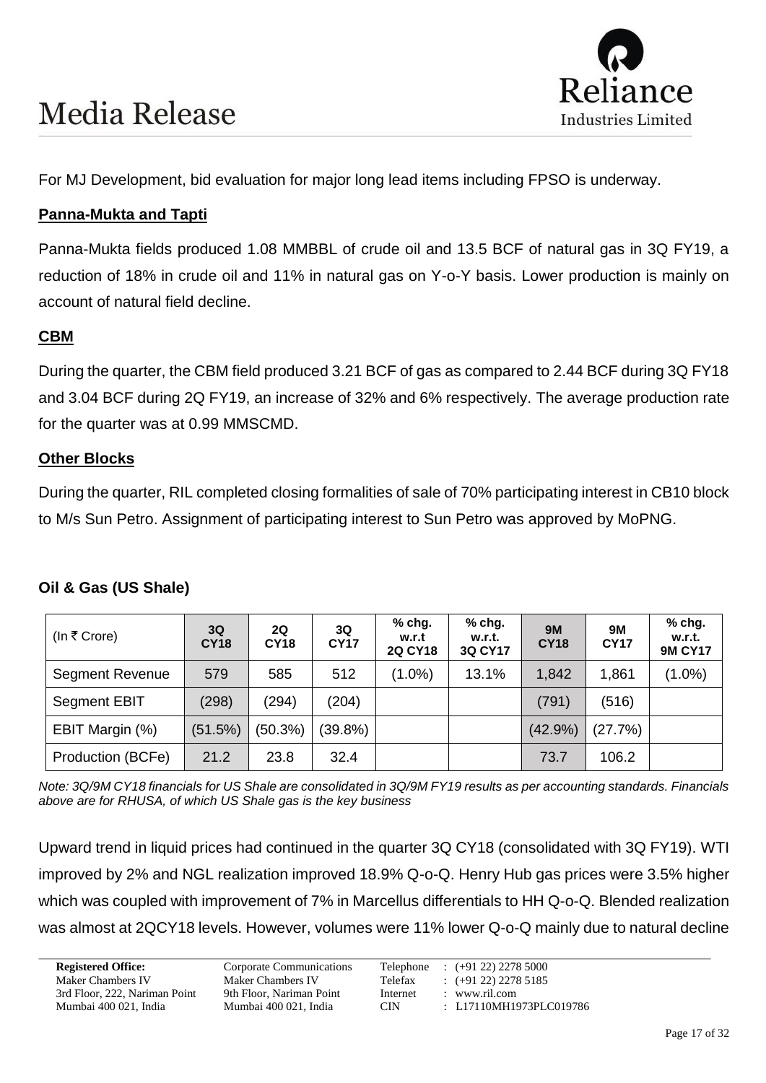

For MJ Development, bid evaluation for major long lead items including FPSO is underway.

### **Panna-Mukta and Tapti**

Panna-Mukta fields produced 1.08 MMBBL of crude oil and 13.5 BCF of natural gas in 3Q FY19, a reduction of 18% in crude oil and 11% in natural gas on Y-o-Y basis. Lower production is mainly on account of natural field decline.

### **CBM**

During the quarter, the CBM field produced 3.21 BCF of gas as compared to 2.44 BCF during 3Q FY18 and 3.04 BCF during 2Q FY19, an increase of 32% and 6% respectively. The average production rate for the quarter was at 0.99 MMSCMD.

#### **Other Blocks**

During the quarter, RIL completed closing formalities of sale of 70% participating interest in CB10 block to M/s Sun Petro. Assignment of participating interest to Sun Petro was approved by MoPNG.

#### **Oil & Gas (US Shale)**

| (In ₹ Crore)           | 3Q<br><b>CY18</b> | 2Q<br><b>CY18</b> | 3Q<br><b>CY17</b> | $%$ chg.<br>w.r.t<br><b>2Q CY18</b> | $%$ chg.<br>w.r.t.<br>3Q CY17 | <b>9M</b><br><b>CY18</b> | <b>9M</b><br><b>CY17</b> | % chg.<br>w.r.t.<br><b>9M CY17</b> |
|------------------------|-------------------|-------------------|-------------------|-------------------------------------|-------------------------------|--------------------------|--------------------------|------------------------------------|
| <b>Segment Revenue</b> | 579               | 585               | 512               | $(1.0\%)$                           | 13.1%                         | 1,842                    | 1,861                    | $(1.0\%)$                          |
| Segment EBIT           | (298)             | (294)             | (204)             |                                     |                               | (791)                    | (516)                    |                                    |
| EBIT Margin (%)        | (51.5%)           | (50.3%)           | $(39.8\%)$        |                                     |                               | $(42.9\%)$               | (27.7%)                  |                                    |
| Production (BCFe)      | 21.2              | 23.8              | 32.4              |                                     |                               | 73.7                     | 106.2                    |                                    |

*Note: 3Q/9M CY18 financials for US Shale are consolidated in 3Q/9M FY19 results as per accounting standards. Financials above are for RHUSA, of which US Shale gas is the key business*

Upward trend in liquid prices had continued in the quarter 3Q CY18 (consolidated with 3Q FY19). WTI improved by 2% and NGL realization improved 18.9% Q-o-Q. Henry Hub gas prices were 3.5% higher which was coupled with improvement of 7% in Marcellus differentials to HH Q-o-Q. Blended realization was almost at 2QCY18 levels. However, volumes were 11% lower Q-o-Q mainly due to natural decline

3rd Floor, 222, Nariman Point 9th Floor, Nariman Point Internet : www.ril.com

**Registered Office:** Corporate Communications Telephone : (+91 22) 2278 5000 Maker Chambers IV Maker Chambers IV Telefax : (+91 22) 2278 5185<br>
3rd Floor, 222, Nariman Point 9th Floor, Nariman Point Internet : www.ril.com Mumbai 400 021, India Mumbai 400 021, India CIN : L17110MH1973PLC019786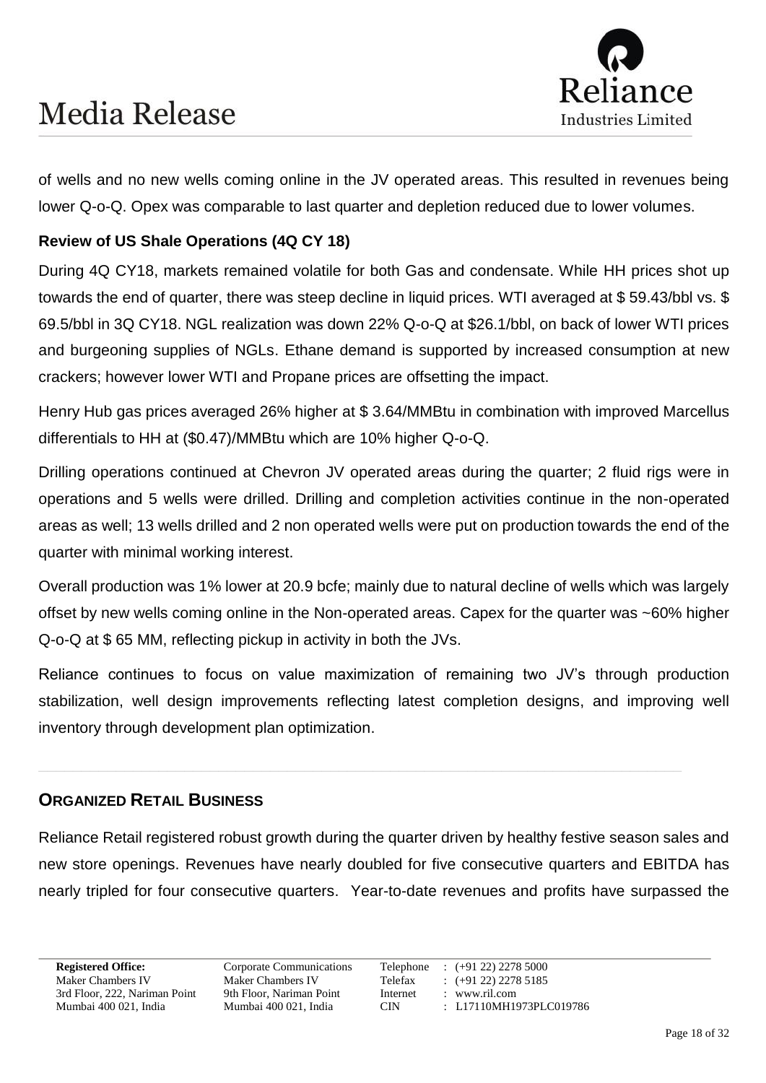

of wells and no new wells coming online in the JV operated areas. This resulted in revenues being lower Q-o-Q. Opex was comparable to last quarter and depletion reduced due to lower volumes.

#### **Review of US Shale Operations (4Q CY 18)**

During 4Q CY18, markets remained volatile for both Gas and condensate. While HH prices shot up towards the end of quarter, there was steep decline in liquid prices. WTI averaged at \$ 59.43/bbl vs. \$ 69.5/bbl in 3Q CY18. NGL realization was down 22% Q-o-Q at \$26.1/bbl, on back of lower WTI prices and burgeoning supplies of NGLs. Ethane demand is supported by increased consumption at new crackers; however lower WTI and Propane prices are offsetting the impact.

Henry Hub gas prices averaged 26% higher at \$ 3.64/MMBtu in combination with improved Marcellus differentials to HH at (\$0.47)/MMBtu which are 10% higher Q-o-Q.

Drilling operations continued at Chevron JV operated areas during the quarter; 2 fluid rigs were in operations and 5 wells were drilled. Drilling and completion activities continue in the non-operated areas as well; 13 wells drilled and 2 non operated wells were put on production towards the end of the quarter with minimal working interest.

Overall production was 1% lower at 20.9 bcfe; mainly due to natural decline of wells which was largely offset by new wells coming online in the Non-operated areas. Capex for the quarter was ~60% higher Q-o-Q at \$ 65 MM, reflecting pickup in activity in both the JVs.

Reliance continues to focus on value maximization of remaining two JV's through production stabilization, well design improvements reflecting latest completion designs, and improving well inventory through development plan optimization.

**\_\_\_\_\_\_\_\_\_\_\_\_\_\_\_\_\_\_\_\_\_\_\_\_\_\_\_\_\_\_\_\_\_\_\_\_\_\_\_\_\_\_\_\_\_\_\_\_\_\_\_\_\_\_\_\_\_\_\_\_\_\_\_\_\_\_\_\_\_\_\_\_\_\_\_**

#### **ORGANIZED RETAIL BUSINESS**

Reliance Retail registered robust growth during the quarter driven by healthy festive season sales and new store openings. Revenues have nearly doubled for five consecutive quarters and EBITDA has nearly tripled for four consecutive quarters. Year-to-date revenues and profits have surpassed the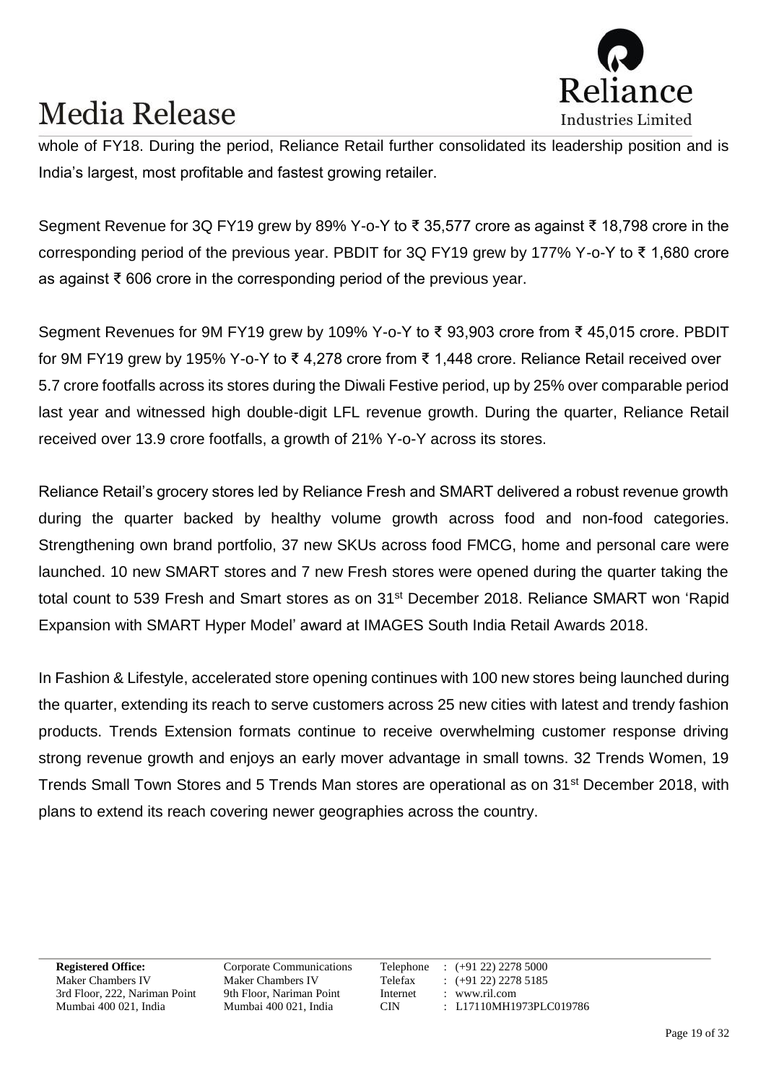

whole of FY18. During the period, Reliance Retail further consolidated its leadership position and is India's largest, most profitable and fastest growing retailer.

Segment Revenue for 3Q FY19 grew by 89% Y-o-Y to ₹ 35,577 crore as against ₹ 18,798 crore in the corresponding period of the previous year. PBDIT for 3Q FY19 grew by 177% Y-o-Y to ₹ 1,680 crore as against ₹ 606 crore in the corresponding period of the previous year.

Segment Revenues for 9M FY19 grew by 109% Y-o-Y to ₹ 93,903 crore from ₹ 45,015 crore. PBDIT for 9M FY19 grew by 195% Y-o-Y to ₹ 4,278 crore from ₹ 1,448 crore. Reliance Retail received over 5.7 crore footfalls across its stores during the Diwali Festive period, up by 25% over comparable period last year and witnessed high double-digit LFL revenue growth. During the quarter, Reliance Retail received over 13.9 crore footfalls, a growth of 21% Y-o-Y across its stores.

Reliance Retail's grocery stores led by Reliance Fresh and SMART delivered a robust revenue growth during the quarter backed by healthy volume growth across food and non-food categories. Strengthening own brand portfolio, 37 new SKUs across food FMCG, home and personal care were launched. 10 new SMART stores and 7 new Fresh stores were opened during the quarter taking the total count to 539 Fresh and Smart stores as on 31<sup>st</sup> December 2018. Reliance SMART won 'Rapid Expansion with SMART Hyper Model' award at IMAGES South India Retail Awards 2018.

In Fashion & Lifestyle, accelerated store opening continues with 100 new stores being launched during the quarter, extending its reach to serve customers across 25 new cities with latest and trendy fashion products. Trends Extension formats continue to receive overwhelming customer response driving strong revenue growth and enjoys an early mover advantage in small towns. 32 Trends Women, 19 Trends Small Town Stores and 5 Trends Man stores are operational as on 31<sup>st</sup> December 2018, with plans to extend its reach covering newer geographies across the country.

3rd Floor, 222, Nariman Point 9th Floor, Nariman Point Internet : www.ril.com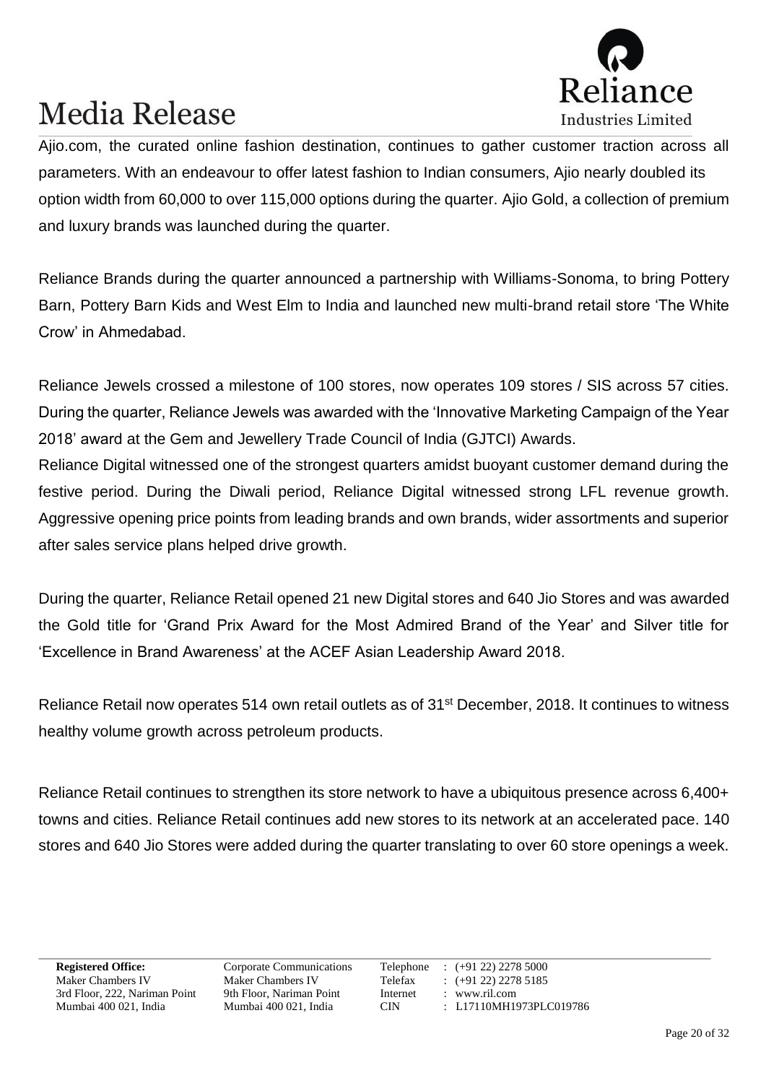

Ajio.com, the curated online fashion destination, continues to gather customer traction across all parameters. With an endeavour to offer latest fashion to Indian consumers, Ajio nearly doubled its option width from 60,000 to over 115,000 options during the quarter. Ajio Gold, a collection of premium and luxury brands was launched during the quarter.

Reliance Brands during the quarter announced a partnership with Williams-Sonoma, to bring Pottery Barn, Pottery Barn Kids and West Elm to India and launched new multi-brand retail store 'The White Crow' in Ahmedabad.

Reliance Jewels crossed a milestone of 100 stores, now operates 109 stores / SIS across 57 cities. During the quarter, Reliance Jewels was awarded with the 'Innovative Marketing Campaign of the Year 2018' award at the Gem and Jewellery Trade Council of India (GJTCI) Awards.

Reliance Digital witnessed one of the strongest quarters amidst buoyant customer demand during the festive period. During the Diwali period, Reliance Digital witnessed strong LFL revenue growth. Aggressive opening price points from leading brands and own brands, wider assortments and superior after sales service plans helped drive growth.

During the quarter, Reliance Retail opened 21 new Digital stores and 640 Jio Stores and was awarded the Gold title for 'Grand Prix Award for the Most Admired Brand of the Year' and Silver title for 'Excellence in Brand Awareness' at the ACEF Asian Leadership Award 2018.

Reliance Retail now operates 514 own retail outlets as of 31<sup>st</sup> December, 2018. It continues to witness healthy volume growth across petroleum products.

Reliance Retail continues to strengthen its store network to have a ubiquitous presence across 6,400+ towns and cities. Reliance Retail continues add new stores to its network at an accelerated pace. 140 stores and 640 Jio Stores were added during the quarter translating to over 60 store openings a week.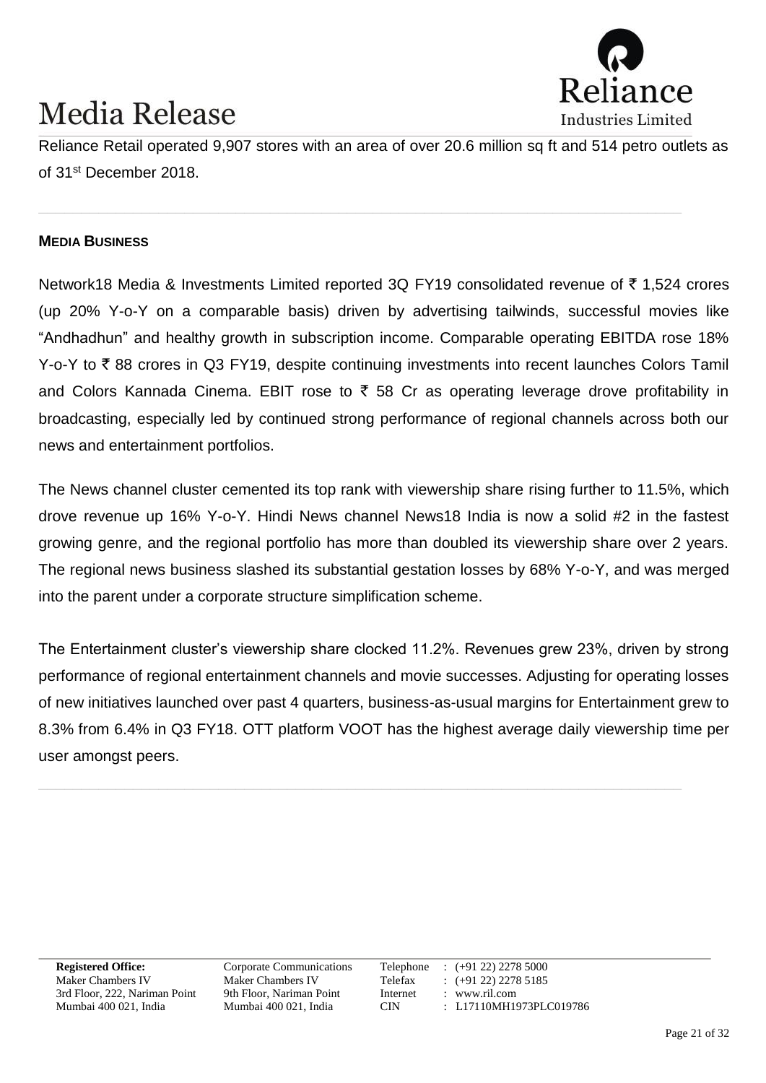

Reliance Retail operated 9,907 stores with an area of over 20.6 million sq ft and 514 petro outlets as of 31st December 2018.

**\_\_\_\_\_\_\_\_\_\_\_\_\_\_\_\_\_\_\_\_\_\_\_\_\_\_\_\_\_\_\_\_\_\_\_\_\_\_\_\_\_\_\_\_\_\_\_\_\_\_\_\_\_\_\_\_\_\_\_\_\_\_\_\_\_\_\_\_\_\_\_\_\_\_\_**

#### **MEDIA BUSINESS**

Network18 Media & Investments Limited reported 3Q FY19 consolidated revenue of  $\bar{\tau}$  1,524 crores (up 20% Y-o-Y on a comparable basis) driven by advertising tailwinds, successful movies like "Andhadhun" and healthy growth in subscription income. Comparable operating EBITDA rose 18% Y-o-Y to  $\bar{\tau}$  88 crores in Q3 FY19, despite continuing investments into recent launches Colors Tamil and Colors Kannada Cinema. EBIT rose to  $\bar{\tau}$  58 Cr as operating leverage drove profitability in broadcasting, especially led by continued strong performance of regional channels across both our news and entertainment portfolios.

The News channel cluster cemented its top rank with viewership share rising further to 11.5%, which drove revenue up 16% Y-o-Y. Hindi News channel News18 India is now a solid #2 in the fastest growing genre, and the regional portfolio has more than doubled its viewership share over 2 years. The regional news business slashed its substantial gestation losses by 68% Y-o-Y, and was merged into the parent under a corporate structure simplification scheme.

The Entertainment cluster's viewership share clocked 11.2%. Revenues grew 23%, driven by strong performance of regional entertainment channels and movie successes. Adjusting for operating losses of new initiatives launched over past 4 quarters, business-as-usual margins for Entertainment grew to 8.3% from 6.4% in Q3 FY18. OTT platform VOOT has the highest average daily viewership time per user amongst peers.

3rd Floor, 222, Nariman Point 9th Floor, Nariman Point Internet : www.ril.com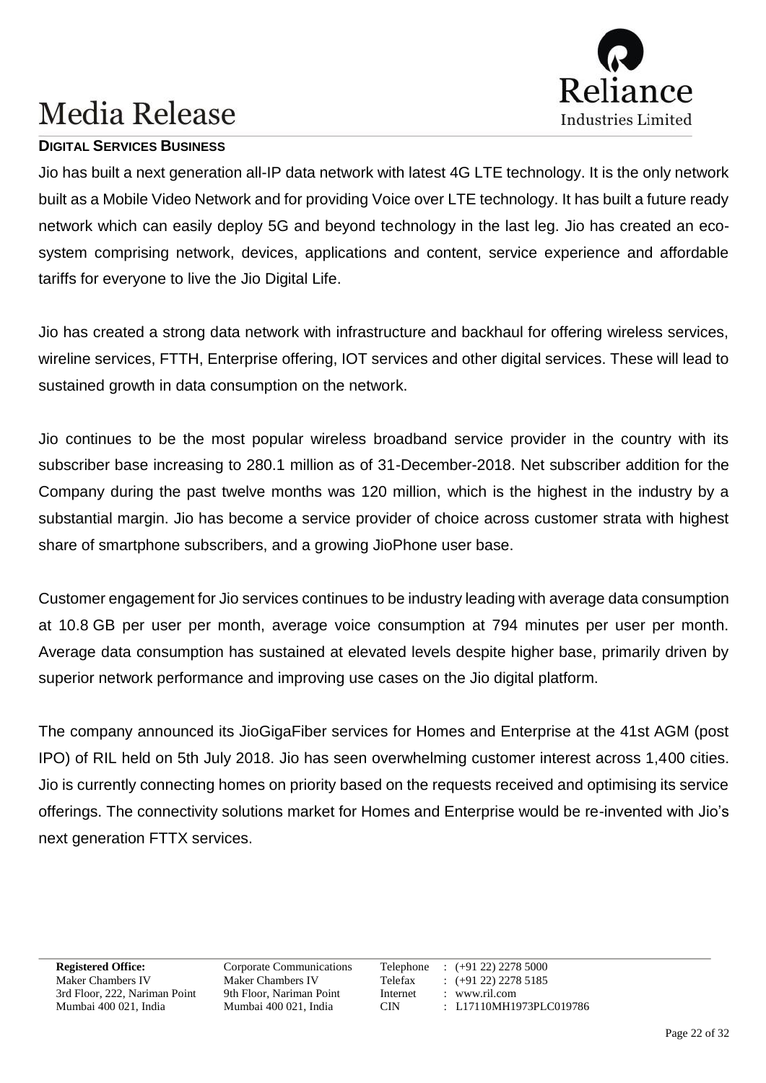

#### **DIGITAL SERVICES BUSINESS**

Jio has built a next generation all-IP data network with latest 4G LTE technology. It is the only network built as a Mobile Video Network and for providing Voice over LTE technology. It has built a future ready network which can easily deploy 5G and beyond technology in the last leg. Jio has created an ecosystem comprising network, devices, applications and content, service experience and affordable tariffs for everyone to live the Jio Digital Life.

Jio has created a strong data network with infrastructure and backhaul for offering wireless services, wireline services, FTTH, Enterprise offering, IOT services and other digital services. These will lead to sustained growth in data consumption on the network.

Jio continues to be the most popular wireless broadband service provider in the country with its subscriber base increasing to 280.1 million as of 31-December-2018. Net subscriber addition for the Company during the past twelve months was 120 million, which is the highest in the industry by a substantial margin. Jio has become a service provider of choice across customer strata with highest share of smartphone subscribers, and a growing JioPhone user base.

Customer engagement for Jio services continues to be industry leading with average data consumption at 10.8 GB per user per month, average voice consumption at 794 minutes per user per month. Average data consumption has sustained at elevated levels despite higher base, primarily driven by superior network performance and improving use cases on the Jio digital platform.

The company announced its JioGigaFiber services for Homes and Enterprise at the 41st AGM (post IPO) of RIL held on 5th July 2018. Jio has seen overwhelming customer interest across 1,400 cities. Jio is currently connecting homes on priority based on the requests received and optimising its service offerings. The connectivity solutions market for Homes and Enterprise would be re-invented with Jio's next generation FTTX services.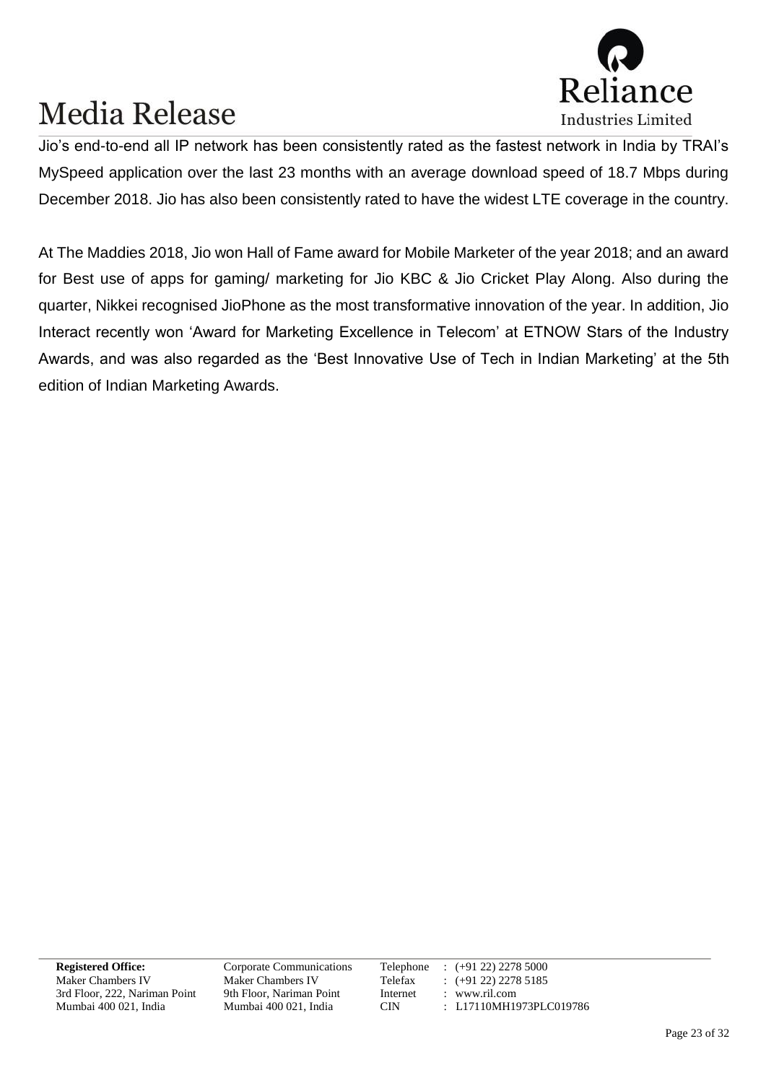

Jio's end-to-end all IP network has been consistently rated as the fastest network in India by TRAI's MySpeed application over the last 23 months with an average download speed of 18.7 Mbps during December 2018. Jio has also been consistently rated to have the widest LTE coverage in the country.

At The Maddies 2018, Jio won Hall of Fame award for Mobile Marketer of the year 2018; and an award for Best use of apps for gaming/ marketing for Jio KBC & Jio Cricket Play Along. Also during the quarter, Nikkei recognised JioPhone as the most transformative innovation of the year. In addition, Jio Interact recently won 'Award for Marketing Excellence in Telecom' at ETNOW Stars of the Industry Awards, and was also regarded as the 'Best Innovative Use of Tech in Indian Marketing' at the 5th edition of Indian Marketing Awards.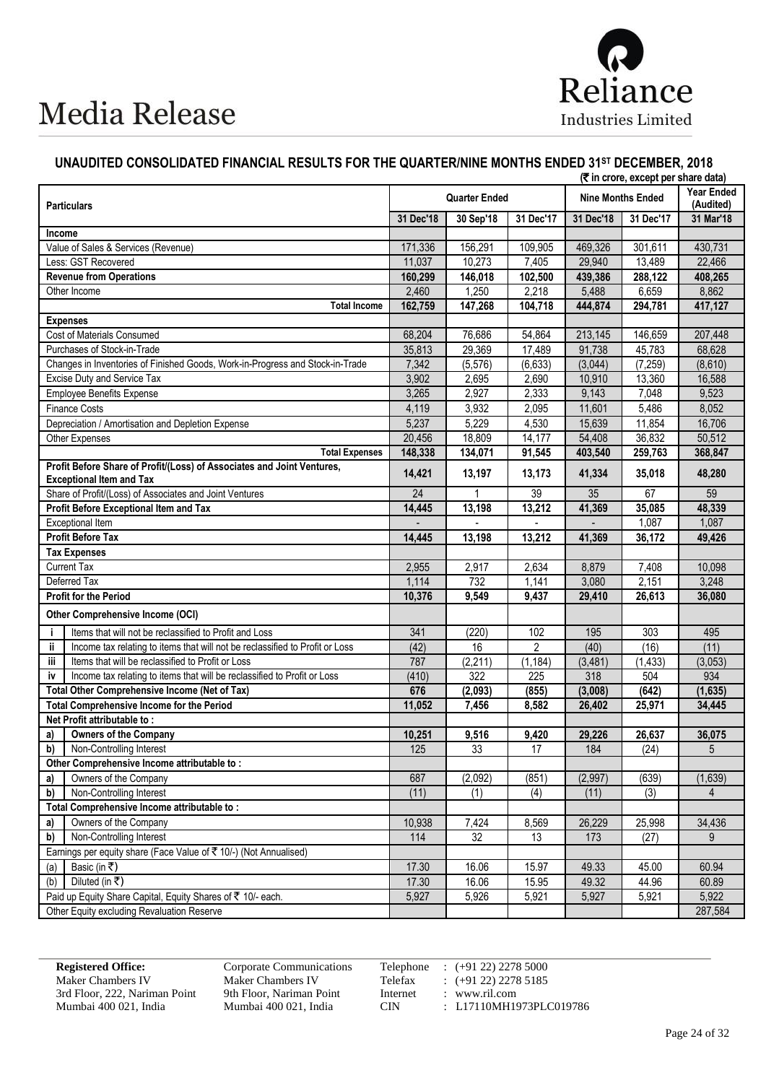

#### **UNAUDITED CONSOLIDATED FINANCIAL RESULTS FOR THE QUARTER/NINE MONTHS ENDED 31ST DECEMBER, 2018**

|        |                                                                                                           | (₹ in crore, except per share data) |                      |                |           |                          |                         |
|--------|-----------------------------------------------------------------------------------------------------------|-------------------------------------|----------------------|----------------|-----------|--------------------------|-------------------------|
|        | <b>Particulars</b>                                                                                        |                                     | <b>Quarter Ended</b> |                |           | <b>Nine Months Ended</b> | Year Ended<br>(Audited) |
|        |                                                                                                           | 31 Dec'18                           | 30 Sep'18            | 31 Dec'17      | 31 Dec'18 | 31 Dec'17                | 31 Mar'18               |
| Income |                                                                                                           |                                     |                      |                |           |                          |                         |
|        | Value of Sales & Services (Revenue)                                                                       | 171,336                             | 156,291              | 109,905        | 469,326   | 301,611                  | 430,731                 |
|        | Less: GST Recovered                                                                                       | 11,037                              | 10,273               | 7,405          | 29.940    | 13,489                   | 22,466                  |
|        | <b>Revenue from Operations</b>                                                                            | 160,299                             | 146,018              | 102,500        | 439,386   | 288,122                  | 408,265                 |
|        | Other Income                                                                                              | 2,460                               | 1,250                | 2,218          | 5,488     | 6,659                    | 8,862                   |
|        | <b>Total Income</b>                                                                                       | 162,759                             | 147,268              | 104,718        | 444,874   | 294,781                  | 417,127                 |
|        | <b>Expenses</b>                                                                                           |                                     |                      |                |           |                          |                         |
|        | Cost of Materials Consumed                                                                                | 68,204                              | 76,686               | 54,864         | 213,145   | 146,659                  | 207,448                 |
|        | Purchases of Stock-in-Trade                                                                               | 35,813                              | 29,369               | 17,489         | 91,738    | 45,783                   | 68,628                  |
|        | Changes in Inventories of Finished Goods, Work-in-Progress and Stock-in-Trade                             | 7,342                               | (5, 576)             | (6,633)        | (3,044)   | (7,259)                  | (8,610)                 |
|        | Excise Duty and Service Tax                                                                               | 3,902                               | 2,695                | 2,690          | 10,910    | 13,360                   | 16,588                  |
|        | <b>Employee Benefits Expense</b>                                                                          | 3,265                               | 2,927                | 2,333          | 9,143     | 7,048                    | 9,523                   |
|        | <b>Finance Costs</b>                                                                                      | 4,119                               | 3,932                | 2,095          | 11,601    | 5,486                    | 8,052                   |
|        | Depreciation / Amortisation and Depletion Expense                                                         | 5,237                               | 5,229                | 4,530          | 15,639    | 11,854                   | 16,706                  |
|        | Other Expenses                                                                                            | 20,456                              | 18,809               | 14,177         | 54,408    | 36,832                   | 50,512                  |
|        | <b>Total Expenses</b>                                                                                     | 148,338                             | 134,071              | 91,545         | 403,540   | 259,763                  | 368,847                 |
|        | Profit Before Share of Profit/(Loss) of Associates and Joint Ventures,<br><b>Exceptional Item and Tax</b> | 14,421                              | 13,197               | 13,173         | 41,334    | 35,018                   | 48,280                  |
|        | Share of Profit/(Loss) of Associates and Joint Ventures                                                   | 24                                  | 1                    | 39             | 35        | 67                       | 59                      |
|        | Profit Before Exceptional Item and Tax                                                                    | 14,445                              | 13,198               | 13,212         | 41,369    | 35,085                   | 48,339                  |
|        | <b>Exceptional Item</b>                                                                                   |                                     |                      |                |           | 1,087                    | 1,087                   |
|        | <b>Profit Before Tax</b>                                                                                  | 14,445                              | 13,198               | 13,212         | 41,369    | 36,172                   | 49,426                  |
|        | <b>Tax Expenses</b>                                                                                       |                                     |                      |                |           |                          |                         |
|        | <b>Current Tax</b>                                                                                        | 2,955                               | 2,917                | 2,634          | 8,879     | 7,408                    | 10,098                  |
|        | Deferred Tax                                                                                              | 1,114                               | 732                  | 1,141          | 3,080     | 2,151                    | 3,248                   |
|        | <b>Profit for the Period</b>                                                                              | 10,376                              | 9,549                | 9,437          | 29,410    | 26,613                   | 36,080                  |
|        | Other Comprehensive Income (OCI)                                                                          |                                     |                      |                |           |                          |                         |
| j.     | Items that will not be reclassified to Profit and Loss                                                    | 341                                 | (220)                | 102            | 195       | 303                      | 495                     |
| ii     | Income tax relating to items that will not be reclassified to Profit or Loss                              | (42)                                | 16                   | $\overline{2}$ | (40)      | (16)                     | (11)                    |
| iii    | Items that will be reclassified to Profit or Loss                                                         | 787                                 | (2, 211)             | (1, 184)       | (3, 481)  | (1, 433)                 | (3,053)                 |
| iv     | Income tax relating to items that will be reclassified to Profit or Loss                                  | (410)                               | 322                  | 225            | 318       | 504                      | 934                     |
|        | <b>Total Other Comprehensive Income (Net of Tax)</b>                                                      | 676                                 | (2,093)              | (855)          | (3,008)   | (642)                    | (1,635)                 |
|        | Total Comprehensive Income for the Period                                                                 | 11,052                              | 7,456                | 8,582          | 26,402    | 25,971                   | 34,445                  |
|        | Net Profit attributable to:                                                                               |                                     |                      |                |           |                          |                         |
| a)     | <b>Owners of the Company</b>                                                                              | 10,251                              | 9,516                | 9,420          | 29,226    | 26,637                   | 36,075                  |
| b)     | Non-Controlling Interest                                                                                  | 125                                 | 33                   | 17             | 184       | (24)                     | $\sqrt{5}$              |
|        | Other Comprehensive Income attributable to:                                                               |                                     |                      |                |           |                          |                         |
| a)     | Owners of the Company                                                                                     | 687                                 | (2,092)              | (851)          | (2,997)   | (639)                    | (1,639)                 |
| b)     | Non-Controlling Interest                                                                                  | (11)                                | (1)                  | (4)            | (11)      | (3)                      | $\overline{4}$          |
|        | Total Comprehensive Income attributable to:                                                               |                                     |                      |                |           |                          |                         |
| a)     | Owners of the Company                                                                                     | 10,938                              | 7,424                | 8,569          | 26,229    | 25,998                   | 34,436                  |
| b)     | Non-Controlling Interest                                                                                  | 114                                 | 32                   | 13             | 173       | (27)                     | 9                       |
|        | Earnings per equity share (Face Value of ₹10/-) (Not Annualised)                                          |                                     |                      |                |           |                          |                         |
| (a)    | Basic (in ₹)                                                                                              | 17.30                               | 16.06                | 15.97          | 49.33     | 45.00                    | 60.94                   |
| (b)    | Diluted (in ₹)                                                                                            | 17.30                               | 16.06                | 15.95          | 49.32     | 44.96                    | 60.89                   |
|        | Paid up Equity Share Capital, Equity Shares of ₹ 10/- each.                                               | 5,927                               | 5,926                | 5,921          | 5,927     | 5,921                    | 5,922                   |
|        | Other Equity excluding Revaluation Reserve                                                                |                                     |                      |                |           |                          | 287,584                 |

**Registered Office:** Corporate Communications Telephone : (+91 22) 2278 5000 Maker Chambers IV<br>
Maker Chambers IV<br>
Telefax : (+91 22) 2278 5185<br>
3rd Floor, 222, Nariman Point 9th Floor, Nariman Point Internet : www.ril.com 3rd Floor, 222, Nariman Point 9th Floor, Nariman Point Internet internet in Mumbai 400 021, India CIN

: L17110MH1973PLC019786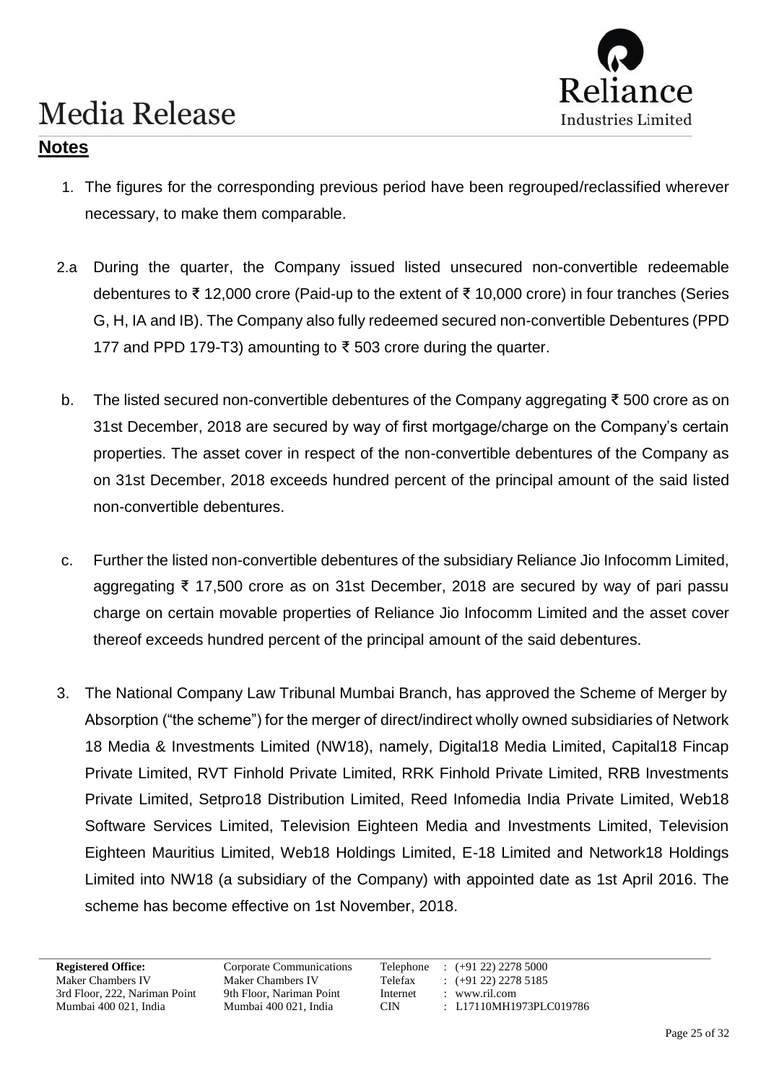

### **Notes**

- 1. The figures for the corresponding previous period have been regrouped/reclassified wherever necessary, to make them comparable.
- 2.a During the quarter, the Company issued listed unsecured non-convertible redeemable debentures to ₹ 12,000 crore (Paid-up to the extent of ₹ 10,000 crore) in four tranches (Series G, H, IA and IB). The Company also fully redeemed secured non-convertible Debentures (PPD 177 and PPD 179-T3) amounting to ₹ 503 crore during the quarter.
- b. The listed secured non-convertible debentures of the Company aggregating ₹ 500 crore as on 31st December, 2018 are secured by way of first mortgage/charge on the Company's certain properties. The asset cover in respect of the non-convertible debentures of the Company as on 31st December, 2018 exceeds hundred percent of the principal amount of the said listed non-convertible debentures.
- c. Further the listed non-convertible debentures of the subsidiary Reliance Jio Infocomm Limited, aggregating ₹ 17,500 crore as on 31st December, 2018 are secured by way of pari passu charge on certain movable properties of Reliance Jio Infocomm Limited and the asset cover thereof exceeds hundred percent of the principal amount of the said debentures.
- 3. The National Company Law Tribunal Mumbai Branch, has approved the Scheme of Merger by Absorption ("the scheme") for the merger of direct/indirect wholly owned subsidiaries of Network 18 Media & Investments Limited (NW18), namely, Digital18 Media Limited, Capital18 Fincap Private Limited, RVT Finhold Private Limited, RRK Finhold Private Limited, RRB Investments Private Limited, Setpro18 Distribution Limited, Reed Infomedia India Private Limited, Web18 Software Services Limited, Television Eighteen Media and Investments Limited, Television Eighteen Mauritius Limited, Web18 Holdings Limited, E-18 Limited and Network18 Holdings Limited into NW18 (a subsidiary of the Company) with appointed date as 1st April 2016. The scheme has become effective on 1st November, 2018.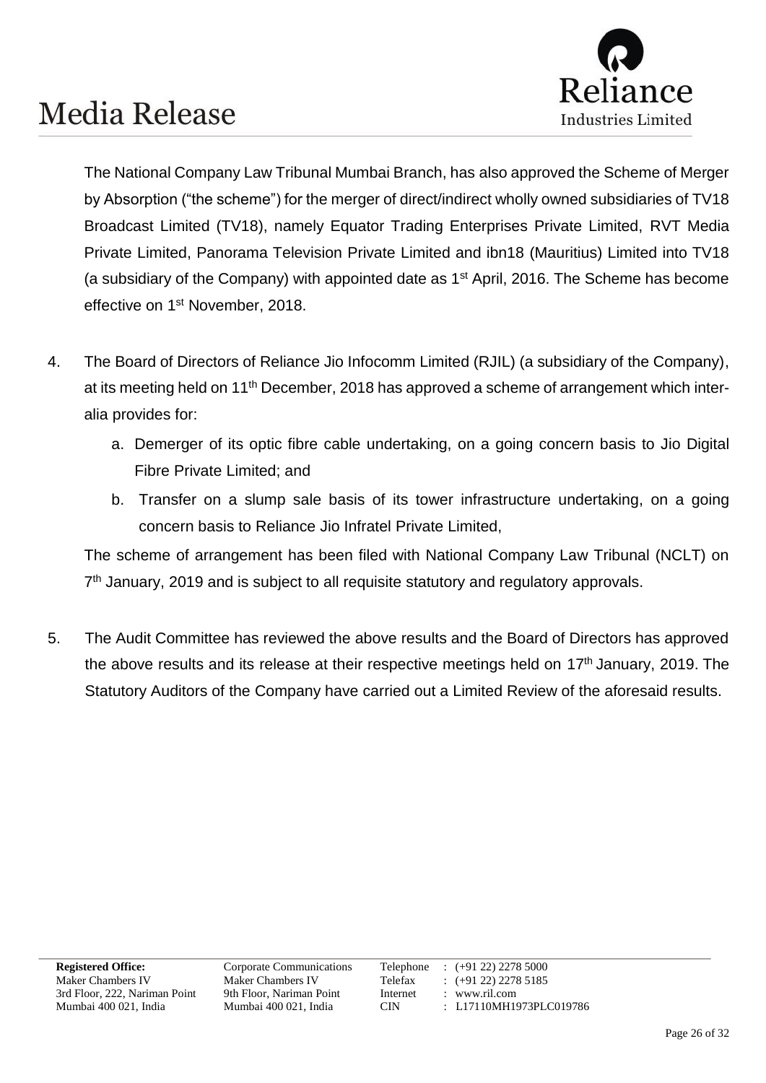

The National Company Law Tribunal Mumbai Branch, has also approved the Scheme of Merger by Absorption ("the scheme") for the merger of direct/indirect wholly owned subsidiaries of TV18 Broadcast Limited (TV18), namely Equator Trading Enterprises Private Limited, RVT Media Private Limited, Panorama Television Private Limited and ibn18 (Mauritius) Limited into TV18 (a subsidiary of the Company) with appointed date as  $1<sup>st</sup>$  April, 2016. The Scheme has become effective on 1st November, 2018.

- 4. The Board of Directors of Reliance Jio Infocomm Limited (RJIL) (a subsidiary of the Company), at its meeting held on 11<sup>th</sup> December, 2018 has approved a scheme of arrangement which interalia provides for:
	- a. Demerger of its optic fibre cable undertaking, on a going concern basis to Jio Digital Fibre Private Limited; and
	- b. Transfer on a slump sale basis of its tower infrastructure undertaking, on a going concern basis to Reliance Jio Infratel Private Limited,

The scheme of arrangement has been filed with National Company Law Tribunal (NCLT) on 7<sup>th</sup> January, 2019 and is subject to all requisite statutory and regulatory approvals.

5. The Audit Committee has reviewed the above results and the Board of Directors has approved the above results and its release at their respective meetings held on 17<sup>th</sup> January, 2019. The Statutory Auditors of the Company have carried out a Limited Review of the aforesaid results.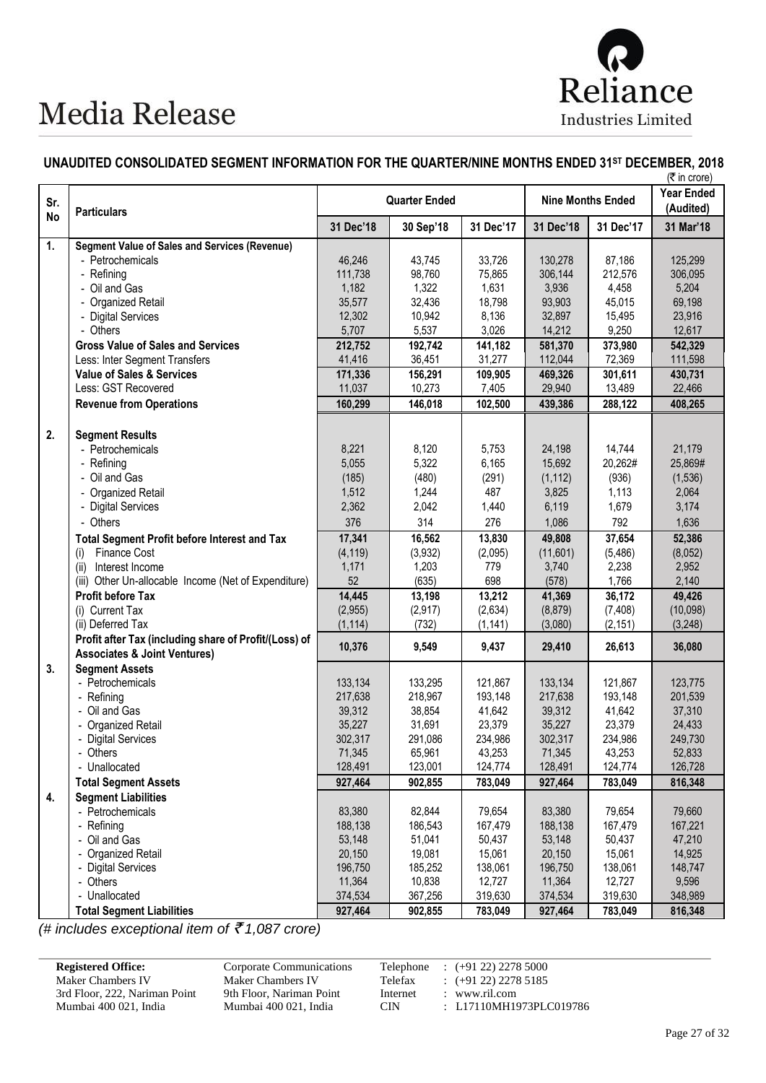

#### **UNAUDITED CONSOLIDATED SEGMENT INFORMATION FOR THE QUARTER/NINE MONTHS ENDED 31ST DECEMBER, 2018**

| Sr.<br><b>No</b> | <b>Particulars</b>                                                               |                | <b>Quarter Ended</b> |                |                  | <b>Nine Months Ended</b> | <b>Year Ended</b><br>(Audited) |
|------------------|----------------------------------------------------------------------------------|----------------|----------------------|----------------|------------------|--------------------------|--------------------------------|
|                  |                                                                                  | 31 Dec'18      | 30 Sep'18            | 31 Dec'17      | 31 Dec'18        | 31 Dec'17                | 31 Mar'18                      |
| 1.               | <b>Segment Value of Sales and Services (Revenue)</b>                             |                |                      |                |                  |                          |                                |
|                  | - Petrochemicals                                                                 | 46,246         | 43,745               | 33,726         | 130,278          | 87,186                   | 125,299                        |
|                  | - Refining                                                                       | 111,738        | 98,760               | 75,865         | 306,144          | 212,576                  | 306,095                        |
|                  | - Oil and Gas                                                                    | 1,182          | 1,322                | 1,631          | 3,936            | 4,458                    | 5,204                          |
|                  | - Organized Retail                                                               | 35,577         | 32,436               | 18,798         | 93,903           | 45,015                   | 69,198                         |
|                  | - Digital Services                                                               | 12,302         | 10,942               | 8,136          | 32,897           | 15,495                   | 23,916                         |
|                  | - Others                                                                         | 5,707          | 5,537                | 3,026          | 14,212           | 9,250                    | 12,617                         |
|                  | <b>Gross Value of Sales and Services</b>                                         | 212,752        | 192,742              | 141,182        | 581,370          | 373,980                  | 542,329                        |
|                  | Less: Inter Segment Transfers                                                    | 41,416         | 36,451               | 31,277         | 112,044          | 72,369                   | 111,598                        |
|                  | <b>Value of Sales &amp; Services</b>                                             | 171,336        | 156,291              | 109,905        | 469,326          | 301,611                  | 430,731                        |
|                  | Less: GST Recovered                                                              | 11,037         | 10,273               | 7,405          | 29,940           | 13,489                   | 22,466                         |
|                  | <b>Revenue from Operations</b>                                                   | 160,299        | 146,018              | 102,500        | 439,386          | 288,122                  | 408,265                        |
|                  |                                                                                  |                |                      |                |                  |                          |                                |
| 2.               | <b>Segment Results</b>                                                           | 8,221          | 8,120                |                |                  |                          |                                |
|                  | - Petrochemicals                                                                 | 5,055          | 5,322                | 5,753<br>6,165 | 24,198<br>15,692 | 14,744<br>20,262#        | 21,179<br>25,869#              |
|                  | - Refining                                                                       |                |                      |                |                  |                          |                                |
|                  | - Oil and Gas                                                                    | (185)          | (480)                | (291)          | (1, 112)         | (936)                    | (1,536)                        |
|                  | - Organized Retail                                                               | 1,512<br>2,362 | 1,244<br>2,042       | 487<br>1,440   | 3,825<br>6,119   | 1,113<br>1,679           | 2,064<br>3,174                 |
|                  | - Digital Services<br>- Others                                                   |                |                      |                |                  |                          |                                |
|                  |                                                                                  | 376            | 314                  | 276            | 1,086            | 792                      | 1,636                          |
|                  | <b>Total Segment Profit before Interest and Tax</b>                              | 17,341         | 16,562               | 13,830         | 49,808           | 37,654                   | 52,386                         |
|                  | <b>Finance Cost</b><br>(i)                                                       | (4, 119)       | (3,932)              | (2,095)        | (11,601)         | (5, 486)                 | (8,052)                        |
|                  | Interest Income<br>(ii)                                                          | 1,171<br>52    | 1,203<br>(635)       | 779<br>698     | 3,740<br>(578)   | 2,238<br>1,766           | 2,952<br>2,140                 |
|                  | (iii) Other Un-allocable Income (Net of Expenditure)<br><b>Profit before Tax</b> | 14,445         |                      | 13,212         | 41,369           |                          |                                |
|                  | (i) Current Tax                                                                  | (2,955)        | 13,198<br>(2, 917)   | (2,634)        | (8, 879)         | 36,172<br>(7, 408)       | 49,426<br>(10,098)             |
|                  | (ii) Deferred Tax                                                                | (1, 114)       | (732)                | (1, 141)       | (3,080)          | (2, 151)                 | (3,248)                        |
|                  | Profit after Tax (including share of Profit/(Loss) of                            |                |                      |                |                  |                          |                                |
|                  | <b>Associates &amp; Joint Ventures)</b>                                          | 10,376         | 9,549                | 9,437          | 29,410           | 26,613                   | 36,080                         |
| 3.               | <b>Segment Assets</b>                                                            |                |                      |                |                  |                          |                                |
|                  | - Petrochemicals                                                                 | 133,134        | 133,295              | 121,867        | 133,134          | 121,867                  | 123,775                        |
|                  | - Refining                                                                       | 217,638        | 218,967              | 193,148        | 217,638          | 193,148                  | 201,539                        |
|                  | - Oil and Gas                                                                    | 39,312         | 38,854               | 41,642         | 39,312           | 41,642                   | 37,310                         |
|                  | - Organized Retail                                                               | 35,227         | 31,691               | 23,379         | 35,227           | 23,379                   | 24,433                         |
|                  | - Digital Services                                                               | 302,317        | 291,086              | 234,986        | 302,317          | 234,986                  | 249,730                        |
|                  | - Others                                                                         | 71,345         | 65,961               | 43,253         | 71,345           | 43,253                   | 52,833                         |
|                  | - Unallocated                                                                    | 128,491        | 123,001              | 124,774        | 128,491          | 124,774                  | 126,728                        |
|                  | <b>Total Segment Assets</b>                                                      | 927,464        | 902,855              | 783,049        | 927,464          | 783,049                  | 816,348                        |
| 4.               | <b>Segment Liabilities</b>                                                       |                |                      |                |                  |                          |                                |
|                  | - Petrochemicals                                                                 | 83,380         | 82,844               | 79,654         | 83,380           | 79,654                   | 79,660                         |
|                  | - Refining                                                                       | 188,138        | 186,543              | 167,479        | 188,138          | 167,479                  | 167,221                        |
|                  | - Oil and Gas                                                                    | 53,148         | 51,041               | 50,437         | 53,148           | 50,437                   | 47,210                         |
|                  | - Organized Retail                                                               | 20,150         | 19,081               | 15,061         | 20,150           | 15,061                   | 14,925                         |
|                  | - Digital Services                                                               | 196,750        | 185,252              | 138,061        | 196,750          | 138,061                  | 148,747                        |
|                  | - Others                                                                         | 11,364         | 10,838               | 12,727         | 11,364           | 12,727                   | 9,596                          |
|                  | - Unallocated                                                                    | 374,534        | 367,256              | 319,630        | 374,534          | 319,630                  | 348,989                        |
|                  | <b>Total Segment Liabilities</b>                                                 | 927,464        | 902,855              | 783,049        | 927,464          | 783,049                  | 816,348                        |

*(# includes exceptional item of* ` *1,087 crore)*

#### **Registered Office:** Corporate Communications Telephone : (+91 22) 2278 5000<br>Maker Chambers IV Maker Chambers IV Telefax : (+91 22) 2278 5185 Maker Chambers IV<br>
Maker Chambers IV<br>
Telefax : (+91 22) 2278 5185<br>
3rd Floor, 222, Nariman Point 9th Floor, Nariman Point Internet : www.ril.com 3rd Floor, 222, Nariman Point 9th Floor, Nariman Poin<br>Mumbai 400 021, India Mumbai 400 021, India Mumbai 400 021, India Mumbai 400 021, India CIN : L17110MH1973PLC019786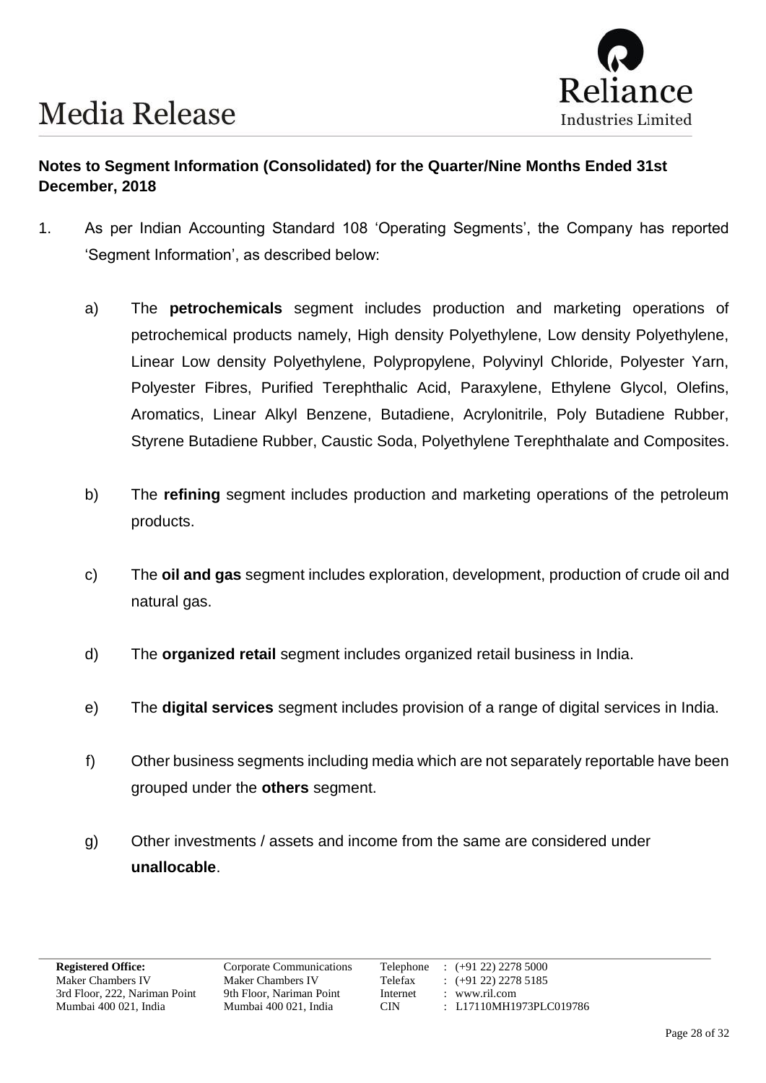

### **Notes to Segment Information (Consolidated) for the Quarter/Nine Months Ended 31st December, 2018**

- 1. As per Indian Accounting Standard 108 'Operating Segments', the Company has reported 'Segment Information', as described below:
	- a) The **petrochemicals** segment includes production and marketing operations of petrochemical products namely, High density Polyethylene, Low density Polyethylene, Linear Low density Polyethylene, Polypropylene, Polyvinyl Chloride, Polyester Yarn, Polyester Fibres, Purified Terephthalic Acid, Paraxylene, Ethylene Glycol, Olefins, Aromatics, Linear Alkyl Benzene, Butadiene, Acrylonitrile, Poly Butadiene Rubber, Styrene Butadiene Rubber, Caustic Soda, Polyethylene Terephthalate and Composites.
	- b) The **refining** segment includes production and marketing operations of the petroleum products.
	- c) The **oil and gas** segment includes exploration, development, production of crude oil and natural gas.
	- d) The **organized retail** segment includes organized retail business in India.
	- e) The **digital services** segment includes provision of a range of digital services in India.
	- f) Other business segments including media which are not separately reportable have been grouped under the **others** segment.
	- g) Other investments / assets and income from the same are considered under **unallocable**.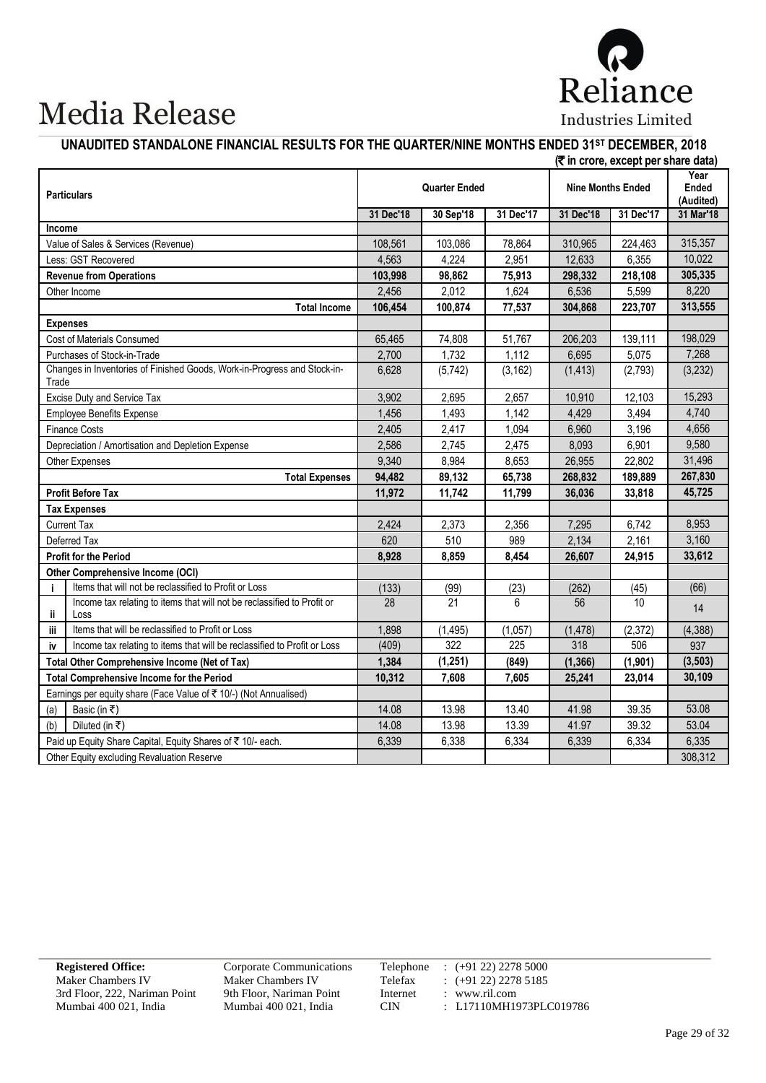

### **UNAUDITED STANDALONE FINANCIAL RESULTS FOR THE QUARTER/NINE MONTHS ENDED 31ST DECEMBER, 2018**

|        |                                                                                 |           |                      |                  |                          | (₹ in crore, except per share data) |                                   |
|--------|---------------------------------------------------------------------------------|-----------|----------------------|------------------|--------------------------|-------------------------------------|-----------------------------------|
|        | <b>Particulars</b>                                                              |           | <b>Quarter Ended</b> |                  | <b>Nine Months Ended</b> |                                     | Year<br><b>Ended</b><br>(Audited) |
|        |                                                                                 | 31 Dec'18 | 30 Sep'18            | 31 Dec'17        | 31 Dec'18                | 31 Dec'17                           | 31 Mar'18                         |
| Income |                                                                                 |           |                      |                  |                          |                                     |                                   |
|        | Value of Sales & Services (Revenue)                                             | 108,561   | 103,086              | 78,864           | 310,965                  | 224,463                             | 315,357                           |
|        | Less: GST Recovered                                                             | 4,563     | 4,224                | 2,951            | 12,633                   | 6,355                               | 10,022                            |
|        | <b>Revenue from Operations</b>                                                  | 103,998   | 98,862               | 75,913           | 298,332                  | 218,108                             | 305,335                           |
|        | Other Income                                                                    | 2,456     | 2,012                | 1,624            | 6,536                    | 5,599                               | 8,220                             |
|        | <b>Total Income</b>                                                             | 106,454   | 100,874              | 77,537           | 304,868                  | 223,707                             | 313,555                           |
|        | <b>Expenses</b>                                                                 |           |                      |                  |                          |                                     |                                   |
|        | Cost of Materials Consumed                                                      | 65,465    | 74,808               | 51,767           | 206,203                  | 139,111                             | 198,029                           |
|        | Purchases of Stock-in-Trade                                                     | 2,700     | 1,732                | 1,112            | 6,695                    | 5,075                               | 7,268                             |
| Trade  | Changes in Inventories of Finished Goods, Work-in-Progress and Stock-in-        | 6,628     | (5,742)              | (3, 162)         | (1, 413)                 | (2,793)                             | (3,232)                           |
|        | Excise Duty and Service Tax                                                     | 3,902     | 2,695                | 2,657            | 10,910                   | 12,103                              | 15,293                            |
|        | <b>Employee Benefits Expense</b>                                                | 1,456     | 1,493                | 1,142            | 4,429                    | 3,494                               | 4,740                             |
|        | <b>Finance Costs</b>                                                            | 2,405     | 2,417                | 1,094            | 6,960                    | 3,196                               | 4,656                             |
|        | Depreciation / Amortisation and Depletion Expense                               | 2,586     | 2,745                | 2,475            | 8,093                    | 6,901                               | 9,580                             |
|        | Other Expenses                                                                  | 9,340     | 8,984                | 8,653            | 26,955                   | 22,802                              | 31,496                            |
|        | <b>Total Expenses</b>                                                           | 94,482    | 89,132               | 65,738           | 268,832                  | 189,889                             | 267,830                           |
|        | <b>Profit Before Tax</b>                                                        | 11,972    | 11,742               | 11,799           | 36,036                   | 33,818                              | 45,725                            |
|        | <b>Tax Expenses</b>                                                             |           |                      |                  |                          |                                     |                                   |
|        | <b>Current Tax</b>                                                              | 2,424     | 2,373                | 2,356            | 7,295                    | 6,742                               | 8,953                             |
|        | Deferred Tax                                                                    | 620       | 510                  | 989              | 2,134                    | 2,161                               | 3,160                             |
|        | <b>Profit for the Period</b>                                                    | 8,928     | 8,859                | 8,454            | 26,607                   | 24,915                              | 33,612                            |
|        | <b>Other Comprehensive Income (OCI)</b>                                         |           |                      |                  |                          |                                     |                                   |
| j.     | Items that will not be reclassified to Profit or Loss                           | (133)     | (99)                 | (23)             | (262)                    | (45)                                | (66)                              |
| ï      | Income tax relating to items that will not be reclassified to Profit or<br>Loss | 28        | 21                   | 6                | 56                       | 10 <sup>1</sup>                     | 14                                |
| iii    | Items that will be reclassified to Profit or Loss                               | 1,898     | (1, 495)             | (1,057)          | (1, 478)                 | (2, 372)                            | (4, 388)                          |
| iv     | Income tax relating to items that will be reclassified to Profit or Loss        | (409)     | $\overline{322}$     | $\overline{225}$ | 318                      | 506                                 | 937                               |
|        | Total Other Comprehensive Income (Net of Tax)                                   | 1,384     | (1,251)              | (849)            | (1, 366)                 | (1, 901)                            | (3, 503)                          |
|        | <b>Total Comprehensive Income for the Period</b>                                | 10,312    | 7,608                | 7,605            | 25,241                   | 23,014                              | 30,109                            |
|        | Earnings per equity share (Face Value of ₹ 10/-) (Not Annualised)               |           |                      |                  |                          |                                     |                                   |
| (a)    | Basic (in ₹)                                                                    | 14.08     | 13.98                | 13.40            | 41.98                    | 39.35                               | 53.08                             |
| (b)    | Diluted (in ₹)                                                                  | 14.08     | 13.98                | 13.39            | 41.97                    | 39.32                               | 53.04                             |
|        | Paid up Equity Share Capital, Equity Shares of ₹ 10/- each.                     | 6,339     | 6,338                | 6,334            | 6,339                    | 6,334                               | 6,335                             |
|        | Other Equity excluding Revaluation Reserve                                      |           |                      |                  |                          |                                     | 308,312                           |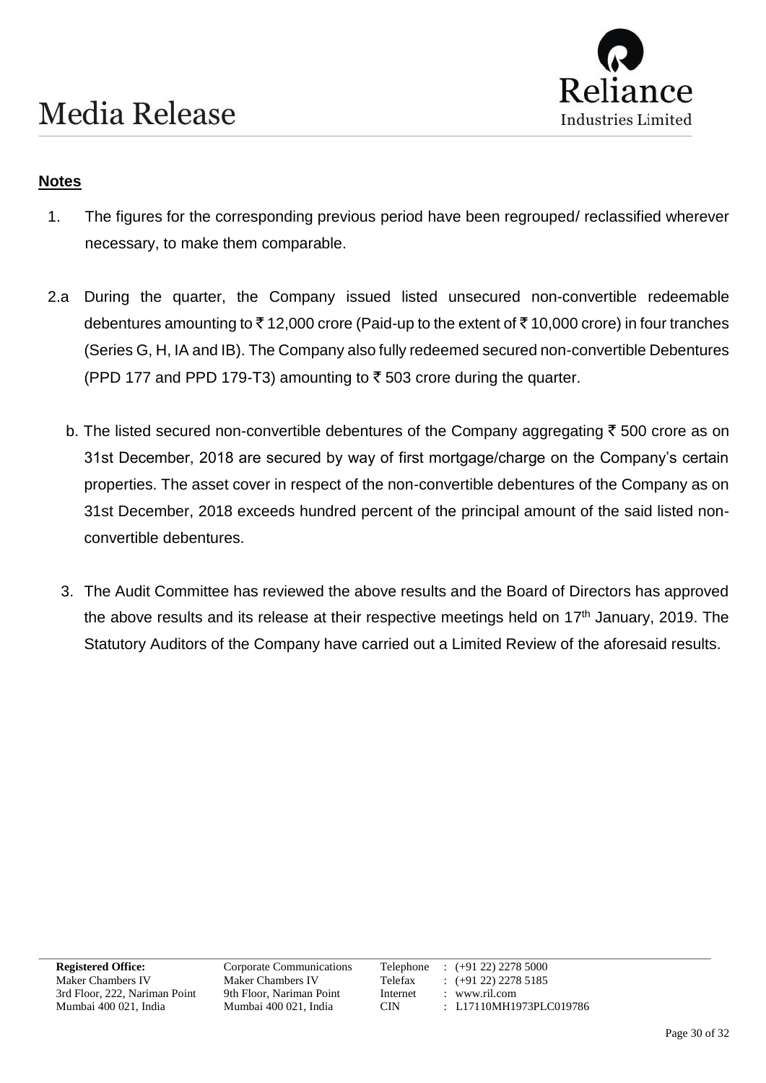

### **Notes**

- 1. The figures for the corresponding previous period have been regrouped/ reclassified wherever necessary, to make them comparable.
- 2.a During the quarter, the Company issued listed unsecured non-convertible redeemable debentures amounting to  $\bar{\tau}$  12,000 crore (Paid-up to the extent of  $\bar{\tau}$  10,000 crore) in four tranches (Series G, H, IA and IB). The Company also fully redeemed secured non-convertible Debentures (PPD 177 and PPD 179-T3) amounting to  $\bar{\tau}$  503 crore during the quarter.
	- b. The listed secured non-convertible debentures of the Company aggregating  $\bar{\tau}$  500 crore as on 31st December, 2018 are secured by way of first mortgage/charge on the Company's certain properties. The asset cover in respect of the non-convertible debentures of the Company as on 31st December, 2018 exceeds hundred percent of the principal amount of the said listed nonconvertible debentures.
	- 3. The Audit Committee has reviewed the above results and the Board of Directors has approved the above results and its release at their respective meetings held on 17<sup>th</sup> January, 2019. The Statutory Auditors of the Company have carried out a Limited Review of the aforesaid results.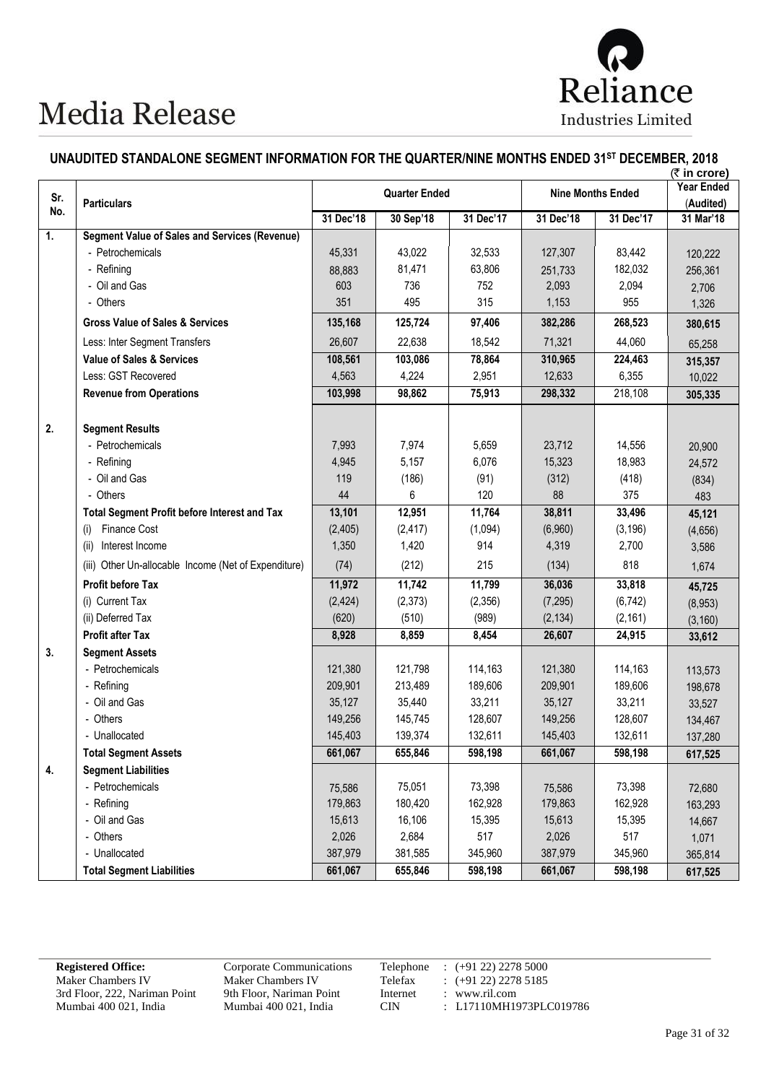

#### **UNAUDITED STANDALONE SEGMENT INFORMATION FOR THE QUARTER/NINE MONTHS ENDED 31ST DECEMBER, 2018**

|                |                                                      |                      |           |           |                          |           | (₹ in crore)                   |
|----------------|------------------------------------------------------|----------------------|-----------|-----------|--------------------------|-----------|--------------------------------|
| Sr.            | <b>Particulars</b>                                   | <b>Quarter Ended</b> |           |           | <b>Nine Months Ended</b> |           | <b>Year Ended</b><br>(Audited) |
| No.            |                                                      | 31 Dec'18            | 30 Sep'18 | 31 Dec'17 | 31 Dec'18                | 31 Dec'17 | 31 Mar'18                      |
| $\mathbf{1}$ . | <b>Segment Value of Sales and Services (Revenue)</b> |                      |           |           |                          |           |                                |
|                | - Petrochemicals                                     | 45,331               | 43,022    | 32,533    | 127,307                  | 83,442    | 120,222                        |
|                | - Refining                                           | 88,883               | 81,471    | 63,806    | 251,733                  | 182,032   | 256,361                        |
|                | - Oil and Gas                                        | 603                  | 736       | 752       | 2,093                    | 2,094     | 2,706                          |
|                | - Others                                             | 351                  | 495       | 315       | 1,153                    | 955       | 1,326                          |
|                | <b>Gross Value of Sales &amp; Services</b>           | 135,168              | 125,724   | 97,406    | 382,286                  | 268,523   | 380,615                        |
|                | Less: Inter Segment Transfers                        | 26,607               | 22,638    | 18,542    | 71,321                   | 44,060    | 65,258                         |
|                | <b>Value of Sales &amp; Services</b>                 | 108,561              | 103,086   | 78,864    | 310,965                  | 224,463   | 315,357                        |
|                | Less: GST Recovered                                  | 4,563                | 4,224     | 2,951     | 12,633                   | 6,355     | 10,022                         |
|                | <b>Revenue from Operations</b>                       | 103,998              | 98,862    | 75,913    | 298,332                  | 218,108   | 305,335                        |
| 2.             | <b>Segment Results</b>                               |                      |           |           |                          |           |                                |
|                | - Petrochemicals                                     | 7,993                | 7,974     | 5,659     | 23,712                   | 14,556    | 20,900                         |
|                | - Refining                                           | 4,945                | 5,157     | 6,076     | 15,323                   | 18,983    | 24,572                         |
|                | - Oil and Gas                                        | 119                  | (186)     | (91)      | (312)                    | (418)     | (834)                          |
|                | - Others                                             | 44                   | 6         | 120       | 88                       | 375       | 483                            |
|                | <b>Total Segment Profit before Interest and Tax</b>  | 13,101               | 12,951    | 11,764    | 38,811                   | 33,496    | 45,121                         |
|                | Finance Cost<br>(i)                                  | (2,405)              | (2, 417)  | (1,094)   | (6,960)                  | (3, 196)  | (4,656)                        |
|                | Interest Income<br>(ii)                              | 1,350                | 1,420     | 914       | 4,319                    | 2,700     | 3,586                          |
|                | (iii) Other Un-allocable Income (Net of Expenditure) | (74)                 | (212)     | 215       | (134)                    | 818       | 1,674                          |
|                | <b>Profit before Tax</b>                             | 11,972               | 11,742    | 11,799    | 36,036                   | 33,818    | 45,725                         |
|                | (i) Current Tax                                      | (2, 424)             | (2,373)   | (2,356)   | (7, 295)                 | (6, 742)  | (8,953)                        |
|                | (ii) Deferred Tax                                    | (620)                | (510)     | (989)     | (2, 134)                 | (2, 161)  | (3, 160)                       |
|                | Profit after Tax                                     | 8,928                | 8,859     | 8,454     | 26,607                   | 24,915    | 33,612                         |
| 3.             | <b>Segment Assets</b>                                |                      |           |           |                          |           |                                |
|                | - Petrochemicals                                     | 121,380              | 121,798   | 114,163   | 121,380                  | 114,163   | 113,573                        |
|                | - Refining                                           | 209,901              | 213,489   | 189,606   | 209,901                  | 189,606   | 198,678                        |
|                | - Oil and Gas                                        | 35,127               | 35,440    | 33,211    | 35,127                   | 33,211    | 33,527                         |
|                | - Others                                             | 149,256              | 145,745   | 128,607   | 149,256                  | 128,607   | 134,467                        |
|                | - Unallocated                                        | 145,403              | 139,374   | 132,611   | 145,403                  | 132,611   | 137,280                        |
|                | <b>Total Segment Assets</b>                          | 661,067              | 655,846   | 598,198   | 661,067                  | 598,198   | 617,525                        |
| 4.             | <b>Segment Liabilities</b>                           |                      |           |           |                          |           |                                |
|                | - Petrochemicals                                     | 75,586               | 75,051    | 73,398    | 75,586                   | 73,398    | 72,680                         |
|                | - Refining                                           | 179,863              | 180,420   | 162,928   | 179,863                  | 162,928   | 163,293                        |
|                | - Oil and Gas                                        | 15,613               | 16,106    | 15,395    | 15,613                   | 15,395    | 14,667                         |
|                | - Others                                             | 2,026                | 2,684     | 517       | 2,026                    | 517       | 1,071                          |
|                | - Unallocated                                        | 387,979              | 381,585   | 345,960   | 387,979                  | 345,960   | 365,814                        |
|                | <b>Total Segment Liabilities</b>                     | 661,067              | 655,846   | 598,198   | 661,067                  | 598,198   | 617,525                        |

3rd Floor, 222, Nariman Point 9th Floor, Nariman Point Internet internet in Mumbai 400 021, India CIN

**Registered Office:** Corporate Communications Telephone : (+91 22) 2278 5000<br>Maker Chambers IV Maker Chambers IV Telefax : (+91 22) 2278 5185 Maker Chambers IV<br>
Maker Chambers IV<br>
Telefax : (+91 22) 2278 5185<br>
3rd Floor, 222, Nariman Point 9th Floor, Nariman Point Internet : www.ril.com : L17110MH1973PLC019786

Page 31 of 32